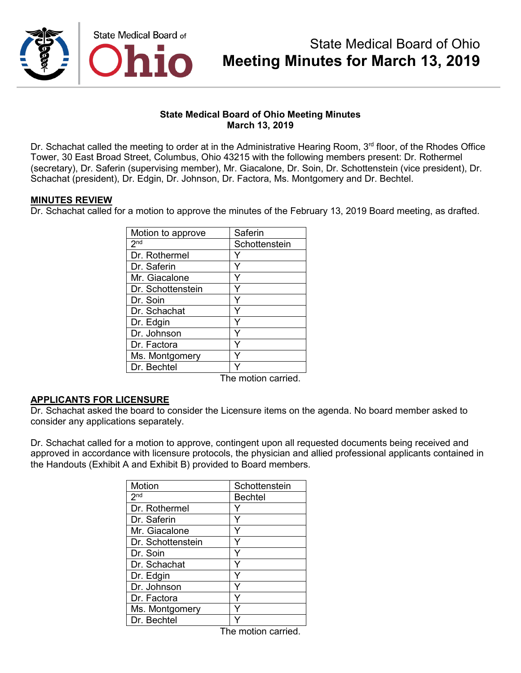

## **State Medical Board of Ohio Meeting Minutes March 13, 2019**

Dr. Schachat called the meeting to order at in the Administrative Hearing Room,  $3<sup>rd</sup>$  floor, of the Rhodes Office Tower, 30 East Broad Street, Columbus, Ohio 43215 with the following members present: Dr. Rothermel (secretary), Dr. Saferin (supervising member), Mr. Giacalone, Dr. Soin, Dr. Schottenstein (vice president), Dr. Schachat (president), Dr. Edgin, Dr. Johnson, Dr. Factora, Ms. Montgomery and Dr. Bechtel.

## **MINUTES REVIEW**

Dr. Schachat called for a motion to approve the minutes of the February 13, 2019 Board meeting, as drafted.

| Motion to approve | Saferin       |
|-------------------|---------------|
| 2 <sup>nd</sup>   | Schottenstein |
| Dr. Rothermel     |               |
| Dr. Saferin       | Y             |
| Mr. Giacalone     | Y             |
| Dr. Schottenstein | Y             |
| Dr. Soin          | Y             |
| Dr. Schachat      | Y             |
| Dr. Edgin         |               |
| Dr. Johnson       |               |
| Dr. Factora       | Y             |
| Ms. Montgomery    | Y             |
| Dr. Bechtel       |               |

The motion carried.

## **APPLICANTS FOR LICENSURE**

Dr. Schachat asked the board to consider the Licensure items on the agenda. No board member asked to consider any applications separately.

Dr. Schachat called for a motion to approve, contingent upon all requested documents being received and approved in accordance with licensure protocols, the physician and allied professional applicants contained in the Handouts (Exhibit A and Exhibit B) provided to Board members.

| Motion            | Schottenstein  |
|-------------------|----------------|
| 2 <sub>nd</sub>   | <b>Bechtel</b> |
| Dr. Rothermel     |                |
| Dr. Saferin       |                |
| Mr. Giacalone     |                |
| Dr. Schottenstein |                |
| Dr. Soin          |                |
| Dr. Schachat      |                |
| Dr. Edgin         |                |
| Dr. Johnson       |                |
| Dr. Factora       |                |
| Ms. Montgomery    |                |
| Dr. Bechtel       |                |

The motion carried.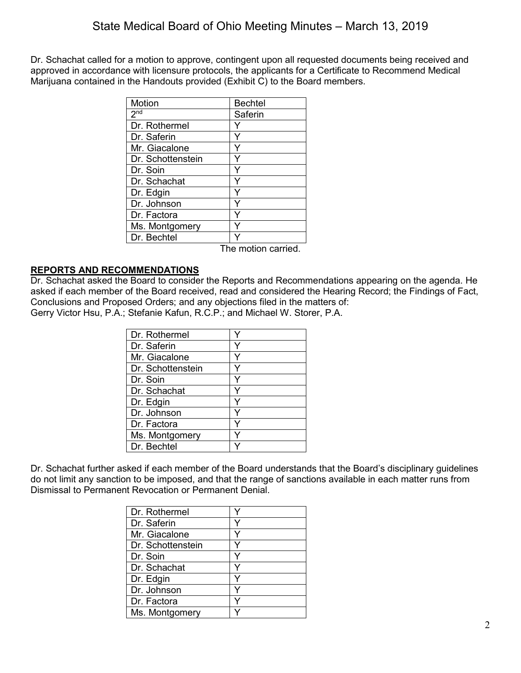Dr. Schachat called for a motion to approve, contingent upon all requested documents being received and approved in accordance with licensure protocols, the applicants for a Certificate to Recommend Medical Marijuana contained in the Handouts provided (Exhibit C) to the Board members.

| Motion            | <b>Bechtel</b> |
|-------------------|----------------|
| 2 <sub>nd</sub>   | Saferin        |
| Dr. Rothermel     |                |
| Dr. Saferin       | Υ              |
| Mr. Giacalone     | Y              |
| Dr. Schottenstein |                |
| Dr. Soin          | Y              |
| Dr. Schachat      | Y              |
| Dr. Edgin         | Υ              |
| Dr. Johnson       |                |
| Dr. Factora       | ٧              |
| Ms. Montgomery    |                |
| Dr. Bechtel       |                |

The motion carried.

# **REPORTS AND RECOMMENDATIONS**

Dr. Schachat asked the Board to consider the Reports and Recommendations appearing on the agenda. He asked if each member of the Board received, read and considered the Hearing Record; the Findings of Fact, Conclusions and Proposed Orders; and any objections filed in the matters of: Gerry Victor Hsu, P.A.; Stefanie Kafun, R.C.P.; and Michael W. Storer, P.A.

| Dr. Rothermel     |  |
|-------------------|--|
| Dr. Saferin       |  |
| Mr. Giacalone     |  |
| Dr. Schottenstein |  |
| Dr. Soin          |  |
| Dr. Schachat      |  |
| Dr. Edgin         |  |
| Dr. Johnson       |  |
| Dr. Factora       |  |
| Ms. Montgomery    |  |
| Dr. Bechtel       |  |

Dr. Schachat further asked if each member of the Board understands that the Board's disciplinary guidelines do not limit any sanction to be imposed, and that the range of sanctions available in each matter runs from Dismissal to Permanent Revocation or Permanent Denial.

| Dr. Rothermel     |  |
|-------------------|--|
| Dr. Saferin       |  |
| Mr. Giacalone     |  |
| Dr. Schottenstein |  |
| Dr. Soin          |  |
| Dr. Schachat      |  |
| Dr. Edgin         |  |
| Dr. Johnson       |  |
| Dr. Factora       |  |
| Ms. Montgomery    |  |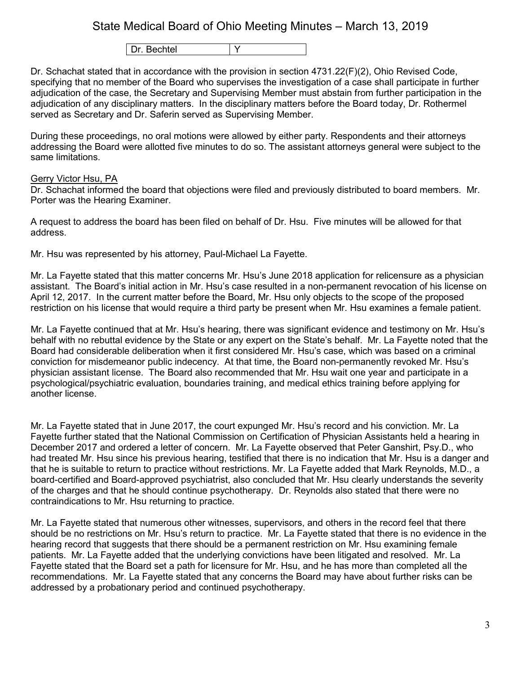Dr. Bechtel Y

Dr. Schachat stated that in accordance with the provision in section 4731.22(F)(2), Ohio Revised Code, specifying that no member of the Board who supervises the investigation of a case shall participate in further adjudication of the case, the Secretary and Supervising Member must abstain from further participation in the adjudication of any disciplinary matters. In the disciplinary matters before the Board today, Dr. Rothermel served as Secretary and Dr. Saferin served as Supervising Member.

During these proceedings, no oral motions were allowed by either party. Respondents and their attorneys addressing the Board were allotted five minutes to do so. The assistant attorneys general were subject to the same limitations.

### Gerry Victor Hsu, PA

Dr. Schachat informed the board that objections were filed and previously distributed to board members. Mr. Porter was the Hearing Examiner.

A request to address the board has been filed on behalf of Dr. Hsu. Five minutes will be allowed for that address.

Mr. Hsu was represented by his attorney, Paul-Michael La Fayette.

Mr. La Fayette stated that this matter concerns Mr. Hsu's June 2018 application for relicensure as a physician assistant. The Board's initial action in Mr. Hsu's case resulted in a non-permanent revocation of his license on April 12, 2017. In the current matter before the Board, Mr. Hsu only objects to the scope of the proposed restriction on his license that would require a third party be present when Mr. Hsu examines a female patient.

Mr. La Fayette continued that at Mr. Hsu's hearing, there was significant evidence and testimony on Mr. Hsu's behalf with no rebuttal evidence by the State or any expert on the State's behalf. Mr. La Fayette noted that the Board had considerable deliberation when it first considered Mr. Hsu's case, which was based on a criminal conviction for misdemeanor public indecency. At that time, the Board non-permanently revoked Mr. Hsu's physician assistant license. The Board also recommended that Mr. Hsu wait one year and participate in a psychological/psychiatric evaluation, boundaries training, and medical ethics training before applying for another license.

Mr. La Fayette stated that in June 2017, the court expunged Mr. Hsu's record and his conviction. Mr. La Fayette further stated that the National Commission on Certification of Physician Assistants held a hearing in December 2017 and ordered a letter of concern. Mr. La Fayette observed that Peter Ganshirt, Psy.D., who had treated Mr. Hsu since his previous hearing, testified that there is no indication that Mr. Hsu is a danger and that he is suitable to return to practice without restrictions. Mr. La Fayette added that Mark Reynolds, M.D., a board-certified and Board-approved psychiatrist, also concluded that Mr. Hsu clearly understands the severity of the charges and that he should continue psychotherapy. Dr. Reynolds also stated that there were no contraindications to Mr. Hsu returning to practice.

Mr. La Fayette stated that numerous other witnesses, supervisors, and others in the record feel that there should be no restrictions on Mr. Hsu's return to practice. Mr. La Fayette stated that there is no evidence in the hearing record that suggests that there should be a permanent restriction on Mr. Hsu examining female patients. Mr. La Fayette added that the underlying convictions have been litigated and resolved. Mr. La Fayette stated that the Board set a path for licensure for Mr. Hsu, and he has more than completed all the recommendations. Mr. La Fayette stated that any concerns the Board may have about further risks can be addressed by a probationary period and continued psychotherapy.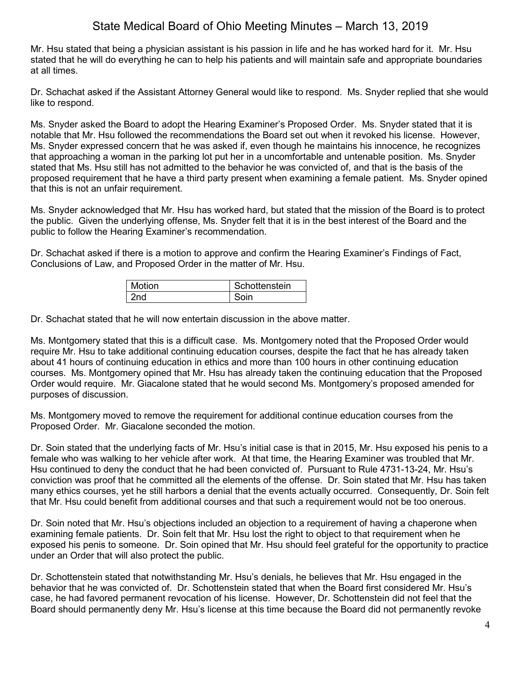Mr. Hsu stated that being a physician assistant is his passion in life and he has worked hard for it. Mr. Hsu stated that he will do everything he can to help his patients and will maintain safe and appropriate boundaries at all times.

Dr. Schachat asked if the Assistant Attorney General would like to respond. Ms. Snyder replied that she would like to respond.

Ms. Snyder asked the Board to adopt the Hearing Examiner's Proposed Order. Ms. Snyder stated that it is notable that Mr. Hsu followed the recommendations the Board set out when it revoked his license. However, Ms. Snyder expressed concern that he was asked if, even though he maintains his innocence, he recognizes that approaching a woman in the parking lot put her in a uncomfortable and untenable position. Ms. Snyder stated that Ms. Hsu still has not admitted to the behavior he was convicted of, and that is the basis of the proposed requirement that he have a third party present when examining a female patient. Ms. Snyder opined that this is not an unfair requirement.

Ms. Snyder acknowledged that Mr. Hsu has worked hard, but stated that the mission of the Board is to protect the public. Given the underlying offense, Ms. Snyder felt that it is in the best interest of the Board and the public to follow the Hearing Examiner's recommendation.

Dr. Schachat asked if there is a motion to approve and confirm the Hearing Examiner's Findings of Fact, Conclusions of Law, and Proposed Order in the matter of Mr. Hsu.

| Motion | Schottenstein |
|--------|---------------|
|        |               |

Dr. Schachat stated that he will now entertain discussion in the above matter.

Ms. Montgomery stated that this is a difficult case. Ms. Montgomery noted that the Proposed Order would require Mr. Hsu to take additional continuing education courses, despite the fact that he has already taken about 41 hours of continuing education in ethics and more than 100 hours in other continuing education courses. Ms. Montgomery opined that Mr. Hsu has already taken the continuing education that the Proposed Order would require. Mr. Giacalone stated that he would second Ms. Montgomery's proposed amended for purposes of discussion.

Ms. Montgomery moved to remove the requirement for additional continue education courses from the Proposed Order. Mr. Giacalone seconded the motion.

Dr. Soin stated that the underlying facts of Mr. Hsu's initial case is that in 2015, Mr. Hsu exposed his penis to a female who was walking to her vehicle after work. At that time, the Hearing Examiner was troubled that Mr. Hsu continued to deny the conduct that he had been convicted of. Pursuant to Rule 4731-13-24, Mr. Hsu's conviction was proof that he committed all the elements of the offense. Dr. Soin stated that Mr. Hsu has taken many ethics courses, yet he still harbors a denial that the events actually occurred. Consequently, Dr. Soin felt that Mr. Hsu could benefit from additional courses and that such a requirement would not be too onerous.

Dr. Soin noted that Mr. Hsu's objections included an objection to a requirement of having a chaperone when examining female patients. Dr. Soin felt that Mr. Hsu lost the right to object to that requirement when he exposed his penis to someone. Dr. Soin opined that Mr. Hsu should feel grateful for the opportunity to practice under an Order that will also protect the public.

Dr. Schottenstein stated that notwithstanding Mr. Hsu's denials, he believes that Mr. Hsu engaged in the behavior that he was convicted of. Dr. Schottenstein stated that when the Board first considered Mr. Hsu's case, he had favored permanent revocation of his license. However, Dr. Schottenstein did not feel that the Board should permanently deny Mr. Hsu's license at this time because the Board did not permanently revoke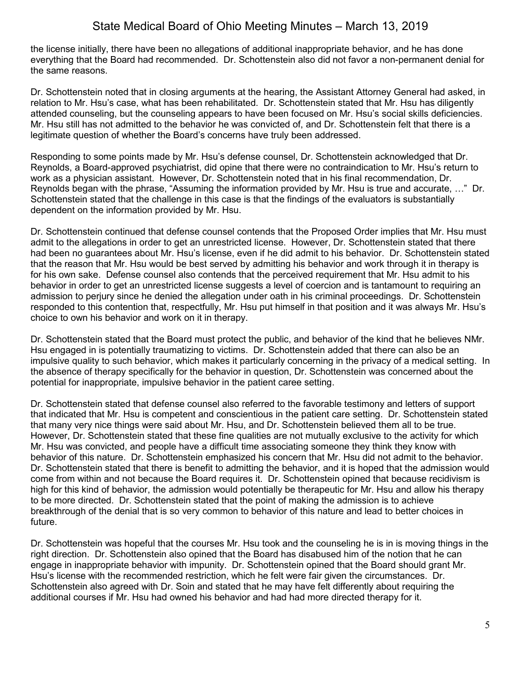the license initially, there have been no allegations of additional inappropriate behavior, and he has done everything that the Board had recommended. Dr. Schottenstein also did not favor a non-permanent denial for the same reasons.

Dr. Schottenstein noted that in closing arguments at the hearing, the Assistant Attorney General had asked, in relation to Mr. Hsu's case, what has been rehabilitated. Dr. Schottenstein stated that Mr. Hsu has diligently attended counseling, but the counseling appears to have been focused on Mr. Hsu's social skills deficiencies. Mr. Hsu still has not admitted to the behavior he was convicted of, and Dr. Schottenstein felt that there is a legitimate question of whether the Board's concerns have truly been addressed.

Responding to some points made by Mr. Hsu's defense counsel, Dr. Schottenstein acknowledged that Dr. Reynolds, a Board-approved psychiatrist, did opine that there were no contraindication to Mr. Hsu's return to work as a physician assistant. However, Dr. Schottenstein noted that in his final recommendation, Dr. Reynolds began with the phrase, "Assuming the information provided by Mr. Hsu is true and accurate, …" Dr. Schottenstein stated that the challenge in this case is that the findings of the evaluators is substantially dependent on the information provided by Mr. Hsu.

Dr. Schottenstein continued that defense counsel contends that the Proposed Order implies that Mr. Hsu must admit to the allegations in order to get an unrestricted license. However, Dr. Schottenstein stated that there had been no guarantees about Mr. Hsu's license, even if he did admit to his behavior. Dr. Schottenstein stated that the reason that Mr. Hsu would be best served by admitting his behavior and work through it in therapy is for his own sake. Defense counsel also contends that the perceived requirement that Mr. Hsu admit to his behavior in order to get an unrestricted license suggests a level of coercion and is tantamount to requiring an admission to perjury since he denied the allegation under oath in his criminal proceedings. Dr. Schottenstein responded to this contention that, respectfully, Mr. Hsu put himself in that position and it was always Mr. Hsu's choice to own his behavior and work on it in therapy.

Dr. Schottenstein stated that the Board must protect the public, and behavior of the kind that he believes NMr. Hsu engaged in is potentially traumatizing to victims. Dr. Schottenstein added that there can also be an impulsive quality to such behavior, which makes it particularly concerning in the privacy of a medical setting. In the absence of therapy specifically for the behavior in question, Dr. Schottenstein was concerned about the potential for inappropriate, impulsive behavior in the patient caree setting.

Dr. Schottenstein stated that defense counsel also referred to the favorable testimony and letters of support that indicated that Mr. Hsu is competent and conscientious in the patient care setting. Dr. Schottenstein stated that many very nice things were said about Mr. Hsu, and Dr. Schottenstein believed them all to be true. However, Dr. Schottenstein stated that these fine qualities are not mutually exclusive to the activity for which Mr. Hsu was convicted, and people have a difficult time associating someone they think they know with behavior of this nature. Dr. Schottenstein emphasized his concern that Mr. Hsu did not admit to the behavior. Dr. Schottenstein stated that there is benefit to admitting the behavior, and it is hoped that the admission would come from within and not because the Board requires it. Dr. Schottenstein opined that because recidivism is high for this kind of behavior, the admission would potentially be therapeutic for Mr. Hsu and allow his therapy to be more directed. Dr. Schottenstein stated that the point of making the admission is to achieve breakthrough of the denial that is so very common to behavior of this nature and lead to better choices in future.

Dr. Schottenstein was hopeful that the courses Mr. Hsu took and the counseling he is in is moving things in the right direction. Dr. Schottenstein also opined that the Board has disabused him of the notion that he can engage in inappropriate behavior with impunity. Dr. Schottenstein opined that the Board should grant Mr. Hsu's license with the recommended restriction, which he felt were fair given the circumstances. Dr. Schottenstein also agreed with Dr. Soin and stated that he may have felt differently about requiring the additional courses if Mr. Hsu had owned his behavior and had had more directed therapy for it.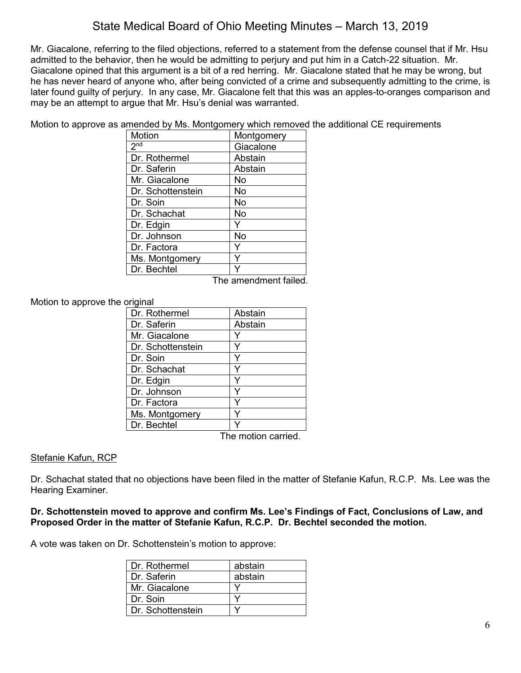Mr. Giacalone, referring to the filed objections, referred to a statement from the defense counsel that if Mr. Hsu admitted to the behavior, then he would be admitting to perjury and put him in a Catch-22 situation. Mr. Giacalone opined that this argument is a bit of a red herring. Mr. Giacalone stated that he may be wrong, but he has never heard of anyone who, after being convicted of a crime and subsequently admitting to the crime, is later found guilty of perjury. In any case, Mr. Giacalone felt that this was an apples-to-oranges comparison and may be an attempt to argue that Mr. Hsu's denial was warranted.

Motion to approve as amended by Ms. Montgomery which removed the additional CE requirements

| Motion            | Montgomery |
|-------------------|------------|
| 2 <sub>nd</sub>   | Giacalone  |
| Dr. Rothermel     | Abstain    |
| Dr. Saferin       | Abstain    |
| Mr. Giacalone     | No         |
| Dr. Schottenstein | No         |
| Dr. Soin          | No         |
| Dr. Schachat      | No         |
| Dr. Edgin         | Y          |
| Dr. Johnson       | No         |
| Dr. Factora       | Y          |
| Ms. Montgomery    | Y          |
| Dr. Bechtel       |            |

The amendment failed.

# Motion to approve the original

| Abstain |
|---------|
| Abstain |
|         |
|         |
|         |
|         |
|         |
|         |
|         |
|         |
|         |
|         |

The motion carried.

## Stefanie Kafun, RCP

Dr. Schachat stated that no objections have been filed in the matter of Stefanie Kafun, R.C.P. Ms. Lee was the Hearing Examiner.

## **Dr. Schottenstein moved to approve and confirm Ms. Lee's Findings of Fact, Conclusions of Law, and Proposed Order in the matter of Stefanie Kafun, R.C.P. Dr. Bechtel seconded the motion.**

A vote was taken on Dr. Schottenstein's motion to approve:

| Dr. Rothermel     | abstain |
|-------------------|---------|
| Dr. Saferin       | abstain |
| Mr. Giacalone     |         |
| Dr. Soin          |         |
| Dr. Schottenstein |         |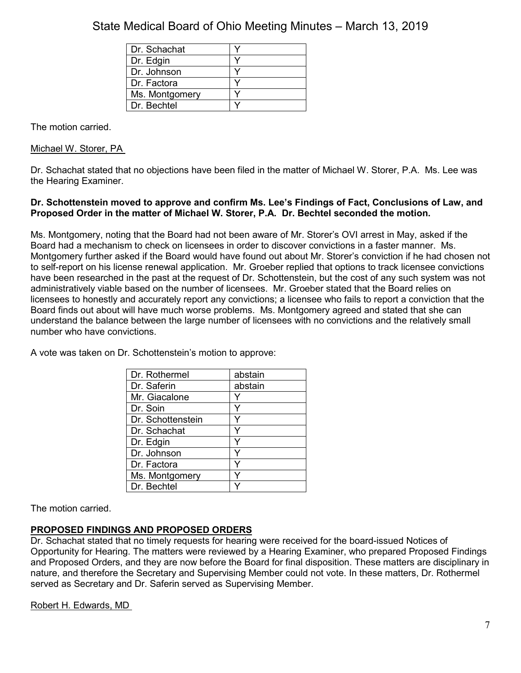| Dr. Schachat   |  |
|----------------|--|
| Dr. Edgin      |  |
| Dr. Johnson    |  |
| Dr. Factora    |  |
| Ms. Montgomery |  |
| Dr. Bechtel    |  |

The motion carried.

Michael W. Storer, PA

Dr. Schachat stated that no objections have been filed in the matter of Michael W. Storer, P.A. Ms. Lee was the Hearing Examiner.

# **Dr. Schottenstein moved to approve and confirm Ms. Lee's Findings of Fact, Conclusions of Law, and Proposed Order in the matter of Michael W. Storer, P.A. Dr. Bechtel seconded the motion.**

Ms. Montgomery, noting that the Board had not been aware of Mr. Storer's OVI arrest in May, asked if the Board had a mechanism to check on licensees in order to discover convictions in a faster manner. Ms. Montgomery further asked if the Board would have found out about Mr. Storer's conviction if he had chosen not to self-report on his license renewal application. Mr. Groeber replied that options to track licensee convictions have been researched in the past at the request of Dr. Schottenstein, but the cost of any such system was not administratively viable based on the number of licensees. Mr. Groeber stated that the Board relies on licensees to honestly and accurately report any convictions; a licensee who fails to report a conviction that the Board finds out about will have much worse problems. Ms. Montgomery agreed and stated that she can understand the balance between the large number of licensees with no convictions and the relatively small number who have convictions.

A vote was taken on Dr. Schottenstein's motion to approve:

| Dr. Rothermel     | abstain |
|-------------------|---------|
| Dr. Saferin       | abstain |
| Mr. Giacalone     | Y       |
| Dr. Soin          |         |
| Dr. Schottenstein |         |
| Dr. Schachat      |         |
| Dr. Edgin         |         |
| Dr. Johnson       |         |
| Dr. Factora       | v       |
| Ms. Montgomery    |         |
| Dr. Bechtel       |         |

The motion carried.

# **PROPOSED FINDINGS AND PROPOSED ORDERS**

Dr. Schachat stated that no timely requests for hearing were received for the board-issued Notices of Opportunity for Hearing. The matters were reviewed by a Hearing Examiner, who prepared Proposed Findings and Proposed Orders, and they are now before the Board for final disposition. These matters are disciplinary in nature, and therefore the Secretary and Supervising Member could not vote. In these matters, Dr. Rothermel served as Secretary and Dr. Saferin served as Supervising Member.

Robert H. Edwards, MD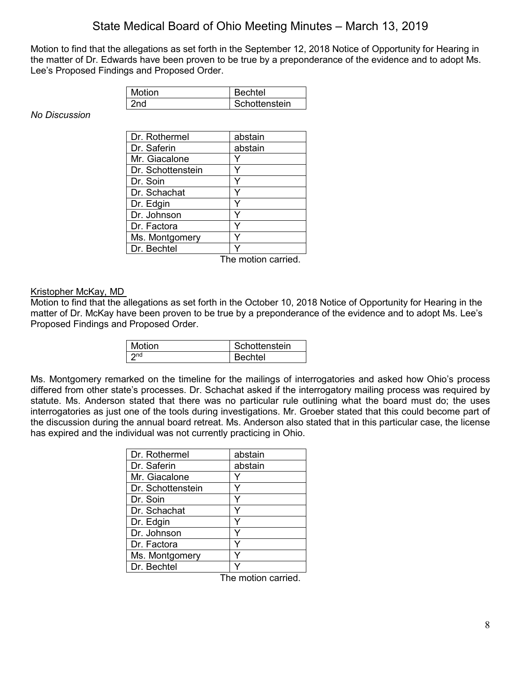Motion to find that the allegations as set forth in the September 12, 2018 Notice of Opportunity for Hearing in the matter of Dr. Edwards have been proven to be true by a preponderance of the evidence and to adopt Ms. Lee's Proposed Findings and Proposed Order.

| Motion | Bechtel       |
|--------|---------------|
| ≀nd    | Schottenstein |

*No Discussion*

| Dr. Rothermel     | abstain |
|-------------------|---------|
| Dr. Saferin       | abstain |
| Mr. Giacalone     |         |
| Dr. Schottenstein |         |
| Dr. Soin          |         |
| Dr. Schachat      | Y       |
| Dr. Edgin         | Y       |
| Dr. Johnson       |         |
| Dr. Factora       |         |
| Ms. Montgomery    |         |
| Dr. Bechtel       |         |

The motion carried.

### Kristopher McKay, MD

Motion to find that the allegations as set forth in the October 10, 2018 Notice of Opportunity for Hearing in the matter of Dr. McKay have been proven to be true by a preponderance of the evidence and to adopt Ms. Lee's Proposed Findings and Proposed Order.

| <b>Motion</b> | Schottenstein |
|---------------|---------------|
|               | Bechtel       |

Ms. Montgomery remarked on the timeline for the mailings of interrogatories and asked how Ohio's process differed from other state's processes. Dr. Schachat asked if the interrogatory mailing process was required by statute. Ms. Anderson stated that there was no particular rule outlining what the board must do; the uses interrogatories as just one of the tools during investigations. Mr. Groeber stated that this could become part of the discussion during the annual board retreat. Ms. Anderson also stated that in this particular case, the license has expired and the individual was not currently practicing in Ohio.

| Dr. Rothermel     | abstain |
|-------------------|---------|
| Dr. Saferin       | abstain |
| Mr. Giacalone     |         |
| Dr. Schottenstein |         |
| Dr. Soin          |         |
| Dr. Schachat      |         |
| Dr. Edgin         |         |
| Dr. Johnson       |         |
| Dr. Factora       |         |
| Ms. Montgomery    |         |
| Dr. Bechtel       |         |

The motion carried.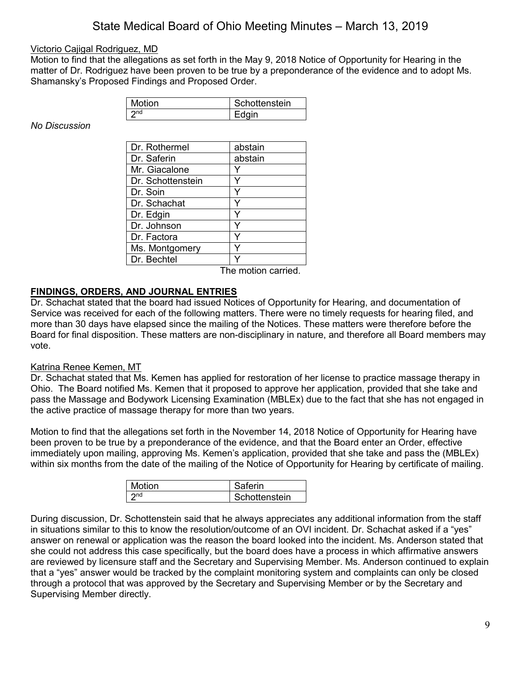## Victorio Cajigal Rodriguez, MD

Motion to find that the allegations as set forth in the May 9, 2018 Notice of Opportunity for Hearing in the matter of Dr. Rodriguez have been proven to be true by a preponderance of the evidence and to adopt Ms. Shamansky's Proposed Findings and Proposed Order.

| Motion | Schottenstein |
|--------|---------------|
| onc.   | =dain         |

*No Discussion*

| Dr. Rothermel     | abstain |
|-------------------|---------|
| Dr. Saferin       | abstain |
| Mr. Giacalone     |         |
| Dr. Schottenstein |         |
| Dr. Soin          |         |
| Dr. Schachat      |         |
| Dr. Edgin         |         |
| Dr. Johnson       |         |
| Dr. Factora       |         |
| Ms. Montgomery    |         |
| Dr. Bechtel       |         |

The motion carried.

## **FINDINGS, ORDERS, AND JOURNAL ENTRIES**

Dr. Schachat stated that the board had issued Notices of Opportunity for Hearing, and documentation of Service was received for each of the following matters. There were no timely requests for hearing filed, and more than 30 days have elapsed since the mailing of the Notices. These matters were therefore before the Board for final disposition. These matters are non-disciplinary in nature, and therefore all Board members may vote.

## Katrina Renee Kemen, MT

Dr. Schachat stated that Ms. Kemen has applied for restoration of her license to practice massage therapy in Ohio. The Board notified Ms. Kemen that it proposed to approve her application, provided that she take and pass the Massage and Bodywork Licensing Examination (MBLEx) due to the fact that she has not engaged in the active practice of massage therapy for more than two years.

Motion to find that the allegations set forth in the November 14, 2018 Notice of Opportunity for Hearing have been proven to be true by a preponderance of the evidence, and that the Board enter an Order, effective immediately upon mailing, approving Ms. Kemen's application, provided that she take and pass the (MBLEx) within six months from the date of the mailing of the Notice of Opportunity for Hearing by certificate of mailing.

| Motion | Saferin       |
|--------|---------------|
|        | Schottenstein |

During discussion, Dr. Schottenstein said that he always appreciates any additional information from the staff in situations similar to this to know the resolution/outcome of an OVI incident. Dr. Schachat asked if a "yes" answer on renewal or application was the reason the board looked into the incident. Ms. Anderson stated that she could not address this case specifically, but the board does have a process in which affirmative answers are reviewed by licensure staff and the Secretary and Supervising Member. Ms. Anderson continued to explain that a "yes" answer would be tracked by the complaint monitoring system and complaints can only be closed through a protocol that was approved by the Secretary and Supervising Member or by the Secretary and Supervising Member directly.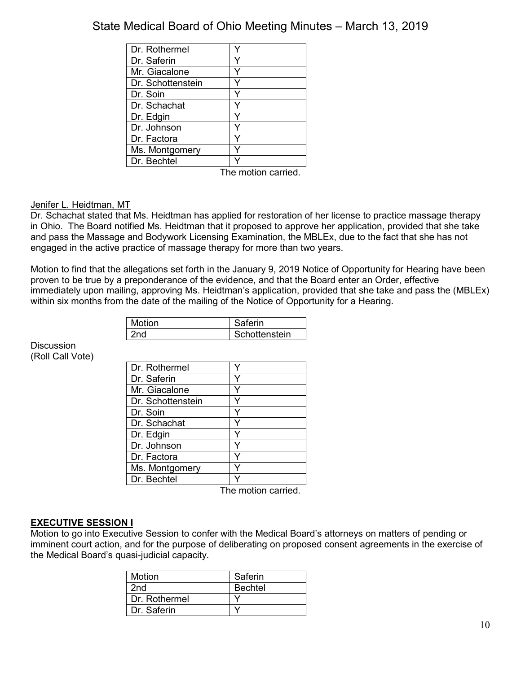| Dr. Rothermel     |      |
|-------------------|------|
| Dr. Saferin       |      |
| Mr. Giacalone     |      |
| Dr. Schottenstein |      |
| Dr. Soin          |      |
| Dr. Schachat      |      |
| Dr. Edgin         |      |
| Dr. Johnson       |      |
| Dr. Factora       |      |
| Ms. Montgomery    |      |
| Dr. Bechtel       |      |
|                   | $+1$ |

The motion carried.

### Jenifer L. Heidtman, MT

Dr. Schachat stated that Ms. Heidtman has applied for restoration of her license to practice massage therapy in Ohio. The Board notified Ms. Heidtman that it proposed to approve her application, provided that she take and pass the Massage and Bodywork Licensing Examination, the MBLEx, due to the fact that she has not engaged in the active practice of massage therapy for more than two years.

Motion to find that the allegations set forth in the January 9, 2019 Notice of Opportunity for Hearing have been proven to be true by a preponderance of the evidence, and that the Board enter an Order, effective immediately upon mailing, approving Ms. Heidtman's application, provided that she take and pass the (MBLEx) within six months from the date of the mailing of the Notice of Opportunity for a Hearing.

| Motion | Saferin       |
|--------|---------------|
|        | Schottenstein |

**Discussion** (Roll Call Vote)

| Dr. Rothermel     |  |
|-------------------|--|
| Dr. Saferin       |  |
| Mr. Giacalone     |  |
| Dr. Schottenstein |  |
| Dr. Soin          |  |
| Dr. Schachat      |  |
| Dr. Edgin         |  |
| Dr. Johnson       |  |
| Dr. Factora       |  |
| Ms. Montgomery    |  |
| Dr. Bechtel       |  |

The motion carried.

## **EXECUTIVE SESSION I**

Motion to go into Executive Session to confer with the Medical Board's attorneys on matters of pending or imminent court action, and for the purpose of deliberating on proposed consent agreements in the exercise of the Medical Board's quasi-judicial capacity.

| Motion        | Saferin        |
|---------------|----------------|
| 2nd           | <b>Bechtel</b> |
| Dr. Rothermel |                |
| Dr. Saferin   |                |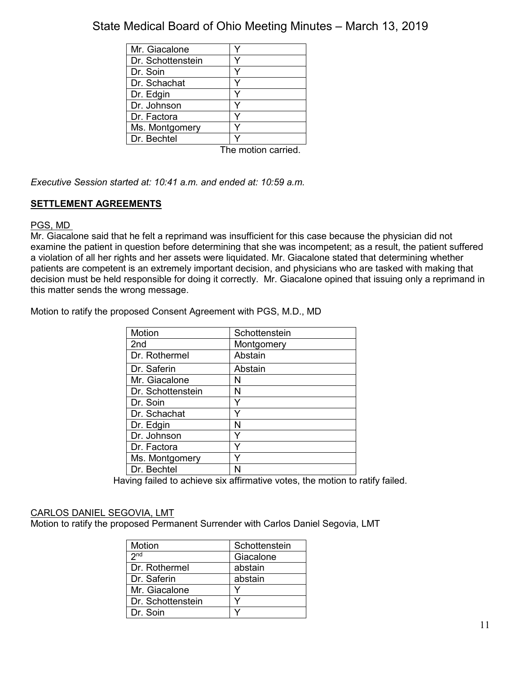| Mr. Giacalone     |                    |
|-------------------|--------------------|
| Dr. Schottenstein |                    |
| Dr. Soin          |                    |
| Dr. Schachat      |                    |
| Dr. Edgin         |                    |
| Dr. Johnson       |                    |
| Dr. Factora       |                    |
| Ms. Montgomery    |                    |
| Dr. Bechtel       |                    |
|                   | The motion carried |

*Executive Session started at: 10:41 a.m. and ended at: 10:59 a.m.*

# **SETTLEMENT AGREEMENTS**

## PGS, MD

Mr. Giacalone said that he felt a reprimand was insufficient for this case because the physician did not examine the patient in question before determining that she was incompetent; as a result, the patient suffered a violation of all her rights and her assets were liquidated. Mr. Giacalone stated that determining whether patients are competent is an extremely important decision, and physicians who are tasked with making that decision must be held responsible for doing it correctly. Mr. Giacalone opined that issuing only a reprimand in this matter sends the wrong message.

Motion to ratify the proposed Consent Agreement with PGS, M.D., MD

| <b>Motion</b>     | Schottenstein |
|-------------------|---------------|
| 2 <sub>nd</sub>   | Montgomery    |
| Dr. Rothermel     | Abstain       |
| Dr. Saferin       | Abstain       |
| Mr. Giacalone     | N             |
| Dr. Schottenstein | N             |
| Dr. Soin          |               |
| Dr. Schachat      | Y             |
| Dr. Edgin         | N             |
| Dr. Johnson       | v             |
| Dr. Factora       | v             |
| Ms. Montgomery    |               |
| Dr. Bechtel       | N             |

Having failed to achieve six affirmative votes, the motion to ratify failed.

# CARLOS DANIEL SEGOVIA, LMT

Motion to ratify the proposed Permanent Surrender with Carlos Daniel Segovia, LMT

| Motion            | Schottenstein |
|-------------------|---------------|
| 2 <sub>nd</sub>   | Giacalone     |
| Dr. Rothermel     | abstain       |
| Dr. Saferin       | abstain       |
| Mr. Giacalone     |               |
| Dr. Schottenstein |               |
| Dr. Soin          |               |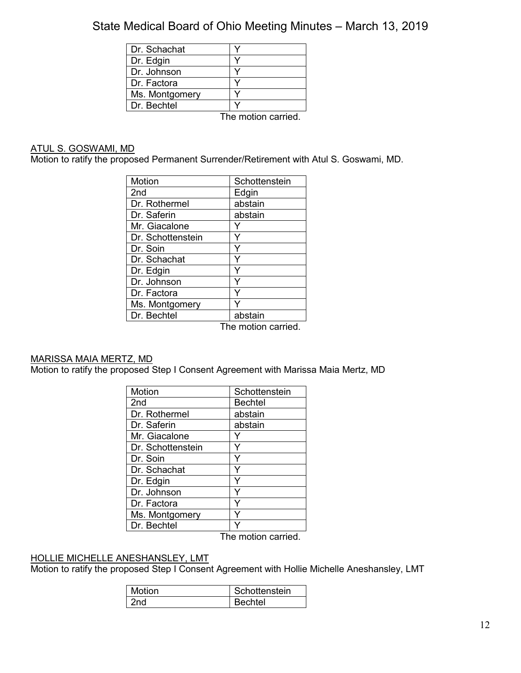| Dr. Schachat   |                     |
|----------------|---------------------|
| Dr. Edgin      |                     |
| Dr. Johnson    |                     |
| Dr. Factora    |                     |
| Ms. Montgomery |                     |
| Dr. Bechtel    |                     |
|                | The protien compani |

The motion carried.

### ATUL S. GOSWAMI, MD

Motion to ratify the proposed Permanent Surrender/Retirement with Atul S. Goswami, MD.

| Motion            | Schottenstein      |
|-------------------|--------------------|
| 2 <sub>nd</sub>   | Edgin              |
| Dr. Rothermel     | abstain            |
| Dr. Saferin       | abstain            |
| Mr. Giacalone     |                    |
| Dr. Schottenstein |                    |
| Dr. Soin          |                    |
| Dr. Schachat      | Y                  |
| Dr. Edgin         |                    |
| Dr. Johnson       |                    |
| Dr. Factora       |                    |
| Ms. Montgomery    |                    |
| Dr. Bechtel       | abstain            |
|                   | The motion carried |

The motion carried.

# MARISSA MAIA MERTZ, MD

Motion to ratify the proposed Step I Consent Agreement with Marissa Maia Mertz, MD

| <b>Motion</b>     | Schottenstein |
|-------------------|---------------|
| 2nd               | Bechtel       |
| Dr. Rothermel     | abstain       |
| Dr. Saferin       | abstain       |
| Mr. Giacalone     |               |
| Dr. Schottenstein |               |
| Dr. Soin          |               |
| Dr. Schachat      |               |
| Dr. Edgin         |               |
| Dr. Johnson       |               |
| Dr. Factora       |               |
| Ms. Montgomery    |               |
| Dr. Bechtel       |               |

The motion carried.

# HOLLIE MICHELLE ANESHANSLEY, LMT

Motion to ratify the proposed Step I Consent Agreement with Hollie Michelle Aneshansley, LMT

| Motion | Schottenstein |
|--------|---------------|
|        | Rechtel       |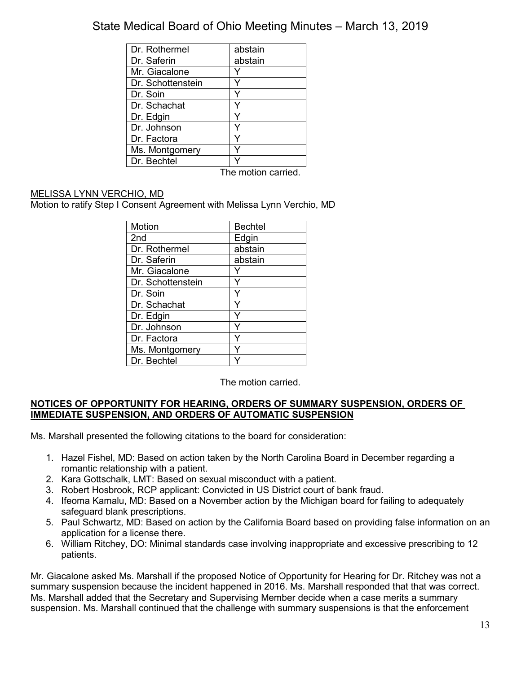| abstain |
|---------|
| abstain |
|         |
|         |
|         |
|         |
|         |
|         |
|         |
|         |
|         |
|         |

The motion carried.

# MELISSA LYNN VERCHIO, MD

Motion to ratify Step I Consent Agreement with Melissa Lynn Verchio, MD

| Motion            | <b>Bechtel</b> |
|-------------------|----------------|
| 2nd               | Edgin          |
| Dr. Rothermel     | abstain        |
| Dr. Saferin       | abstain        |
| Mr. Giacalone     |                |
| Dr. Schottenstein |                |
| Dr. Soin          |                |
| Dr. Schachat      |                |
| Dr. Edgin         |                |
| Dr. Johnson       |                |
| Dr. Factora       |                |
| Ms. Montgomery    |                |
| Dr. Bechtel       |                |

The motion carried.

## **NOTICES OF OPPORTUNITY FOR HEARING, ORDERS OF SUMMARY SUSPENSION, ORDERS OF IMMEDIATE SUSPENSION, AND ORDERS OF AUTOMATIC SUSPENSION**

Ms. Marshall presented the following citations to the board for consideration:

- 1. Hazel Fishel, MD: Based on action taken by the North Carolina Board in December regarding a romantic relationship with a patient.
- 2. Kara Gottschalk, LMT: Based on sexual misconduct with a patient.
- 3. Robert Hosbrook, RCP applicant: Convicted in US District court of bank fraud.
- 4. Ifeoma Kamalu, MD: Based on a November action by the Michigan board for failing to adequately safeguard blank prescriptions.
- 5. Paul Schwartz, MD: Based on action by the California Board based on providing false information on an application for a license there.
- 6. William Ritchey, DO: Minimal standards case involving inappropriate and excessive prescribing to 12 patients.

Mr. Giacalone asked Ms. Marshall if the proposed Notice of Opportunity for Hearing for Dr. Ritchey was not a summary suspension because the incident happened in 2016. Ms. Marshall responded that that was correct. Ms. Marshall added that the Secretary and Supervising Member decide when a case merits a summary suspension. Ms. Marshall continued that the challenge with summary suspensions is that the enforcement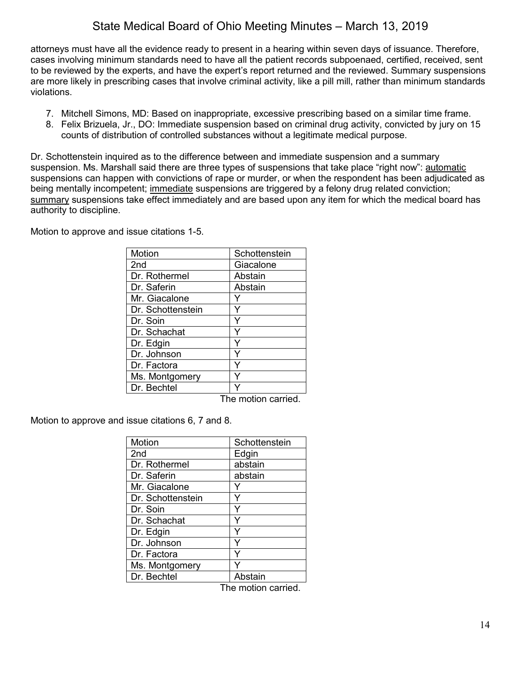attorneys must have all the evidence ready to present in a hearing within seven days of issuance. Therefore, cases involving minimum standards need to have all the patient records subpoenaed, certified, received, sent to be reviewed by the experts, and have the expert's report returned and the reviewed. Summary suspensions are more likely in prescribing cases that involve criminal activity, like a pill mill, rather than minimum standards violations.

- 7. Mitchell Simons, MD: Based on inappropriate, excessive prescribing based on a similar time frame.
- 8. Felix Brizuela, Jr., DO: Immediate suspension based on criminal drug activity, convicted by jury on 15 counts of distribution of controlled substances without a legitimate medical purpose.

Dr. Schottenstein inquired as to the difference between and immediate suspension and a summary suspension. Ms. Marshall said there are three types of suspensions that take place "right now": automatic suspensions can happen with convictions of rape or murder, or when the respondent has been adjudicated as being mentally incompetent; immediate suspensions are triggered by a felony drug related conviction; summary suspensions take effect immediately and are based upon any item for which the medical board has authority to discipline.

Motion to approve and issue citations 1-5.

| Motion            | Schottenstein |
|-------------------|---------------|
| 2 <sub>nd</sub>   | Giacalone     |
| Dr. Rothermel     | Abstain       |
| Dr. Saferin       | Abstain       |
| Mr. Giacalone     |               |
| Dr. Schottenstein |               |
| Dr. Soin          |               |
| Dr. Schachat      |               |
| Dr. Edgin         |               |
| Dr. Johnson       |               |
| Dr. Factora       |               |
| Ms. Montgomery    |               |
| Dr. Bechtel       |               |

The motion carried.

Motion to approve and issue citations 6, 7 and 8.

| Motion            | Schottenstein |
|-------------------|---------------|
| 2 <sub>nd</sub>   | Edgin         |
| Dr. Rothermel     | abstain       |
| Dr. Saferin       | abstain       |
| Mr. Giacalone     |               |
| Dr. Schottenstein | Y             |
| Dr. Soin          | Y             |
| Dr. Schachat      | Y             |
| Dr. Edgin         | Y             |
| Dr. Johnson       | Y             |
| Dr. Factora       | Y             |
| Ms. Montgomery    | Y             |
| Dr. Bechtel       | Abstain       |

The motion carried.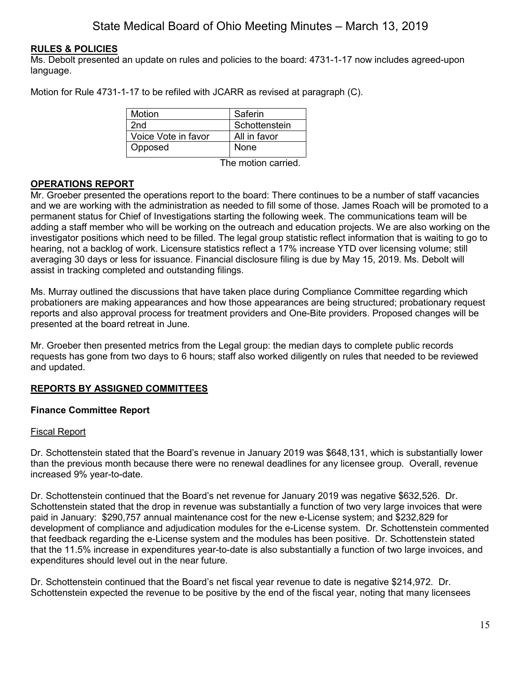# **RULES & POLICIES**

Ms. Debolt presented an update on rules and policies to the board: 4731-1-17 now includes agreed-upon language.

Motion for Rule 4731-1-17 to be refiled with JCARR as revised at paragraph (C).

| <b>Motion</b>       | Saferin       |
|---------------------|---------------|
| 2nd                 | Schottenstein |
| Voice Vote in favor | All in favor  |
| Opposed             | None          |

The motion carried.

# **OPERATIONS REPORT**

Mr. Groeber presented the operations report to the board: There continues to be a number of staff vacancies and we are working with the administration as needed to fill some of those. James Roach will be promoted to a permanent status for Chief of Investigations starting the following week. The communications team will be adding a staff member who will be working on the outreach and education projects. We are also working on the investigator positions which need to be filled. The legal group statistic reflect information that is waiting to go to hearing, not a backlog of work. Licensure statistics reflect a 17% increase YTD over licensing volume; still averaging 30 days or less for issuance. Financial disclosure filing is due by May 15, 2019. Ms. Debolt will assist in tracking completed and outstanding filings.

Ms. Murray outlined the discussions that have taken place during Compliance Committee regarding which probationers are making appearances and how those appearances are being structured; probationary request reports and also approval process for treatment providers and One-Bite providers. Proposed changes will be presented at the board retreat in June.

Mr. Groeber then presented metrics from the Legal group: the median days to complete public records requests has gone from two days to 6 hours; staff also worked diligently on rules that needed to be reviewed and updated.

## **REPORTS BY ASSIGNED COMMITTEES**

## **Finance Committee Report**

## Fiscal Report

Dr. Schottenstein stated that the Board's revenue in January 2019 was \$648,131, which is substantially lower than the previous month because there were no renewal deadlines for any licensee group. Overall, revenue increased 9% year-to-date.

Dr. Schottenstein continued that the Board's net revenue for January 2019 was negative \$632,526. Dr. Schottenstein stated that the drop in revenue was substantially a function of two very large invoices that were paid in January: \$290,757 annual maintenance cost for the new e-License system; and \$232,829 for development of compliance and adjudication modules for the e-License system. Dr. Schottenstein commented that feedback regarding the e-License system and the modules has been positive. Dr. Schottenstein stated that the 11.5% increase in expenditures year-to-date is also substantially a function of two large invoices, and expenditures should level out in the near future.

Dr. Schottenstein continued that the Board's net fiscal year revenue to date is negative \$214,972. Dr. Schottenstein expected the revenue to be positive by the end of the fiscal year, noting that many licensees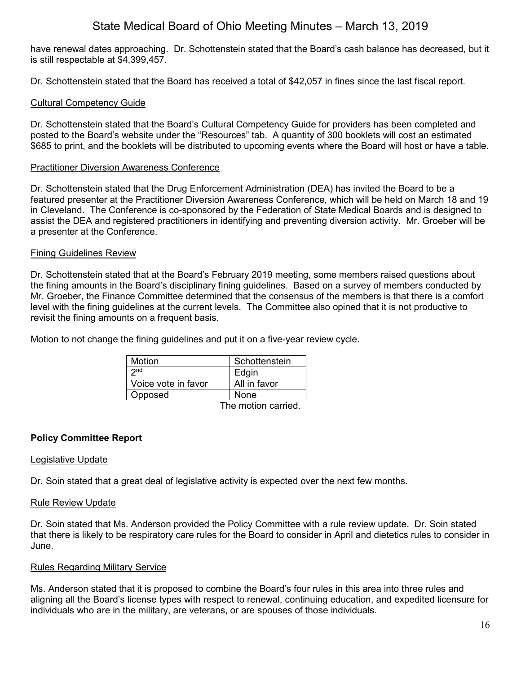have renewal dates approaching. Dr. Schottenstein stated that the Board's cash balance has decreased, but it is still respectable at \$4,399,457.

Dr. Schottenstein stated that the Board has received a total of \$42,057 in fines since the last fiscal report.

# Cultural Competency Guide

Dr. Schottenstein stated that the Board's Cultural Competency Guide for providers has been completed and posted to the Board's website under the "Resources" tab. A quantity of 300 booklets will cost an estimated \$685 to print, and the booklets will be distributed to upcoming events where the Board will host or have a table.

## Practitioner Diversion Awareness Conference

Dr. Schottenstein stated that the Drug Enforcement Administration (DEA) has invited the Board to be a featured presenter at the Practitioner Diversion Awareness Conference, which will be held on March 18 and 19 in Cleveland. The Conference is co-sponsored by the Federation of State Medical Boards and is designed to assist the DEA and registered practitioners in identifying and preventing diversion activity. Mr. Groeber will be a presenter at the Conference.

### Fining Guidelines Review

Dr. Schottenstein stated that at the Board's February 2019 meeting, some members raised questions about the fining amounts in the Board's disciplinary fining guidelines. Based on a survey of members conducted by Mr. Groeber, the Finance Committee determined that the consensus of the members is that there is a comfort level with the fining guidelines at the current levels. The Committee also opined that it is not productive to revisit the fining amounts on a frequent basis.

Motion to not change the fining guidelines and put it on a five-year review cycle.

| Motion              | Schottenstein       |
|---------------------|---------------------|
| 2n <sub>d</sub>     | Edgin               |
| Voice vote in favor | All in favor        |
| Opposed             | None                |
|                     | The metien cerrical |

The motion carried.

## **Policy Committee Report**

## Legislative Update

Dr. Soin stated that a great deal of legislative activity is expected over the next few months.

### Rule Review Update

Dr. Soin stated that Ms. Anderson provided the Policy Committee with a rule review update. Dr. Soin stated that there is likely to be respiratory care rules for the Board to consider in April and dietetics rules to consider in June.

## Rules Regarding Military Service

Ms. Anderson stated that it is proposed to combine the Board's four rules in this area into three rules and aligning all the Board's license types with respect to renewal, continuing education, and expedited licensure for individuals who are in the military, are veterans, or are spouses of those individuals.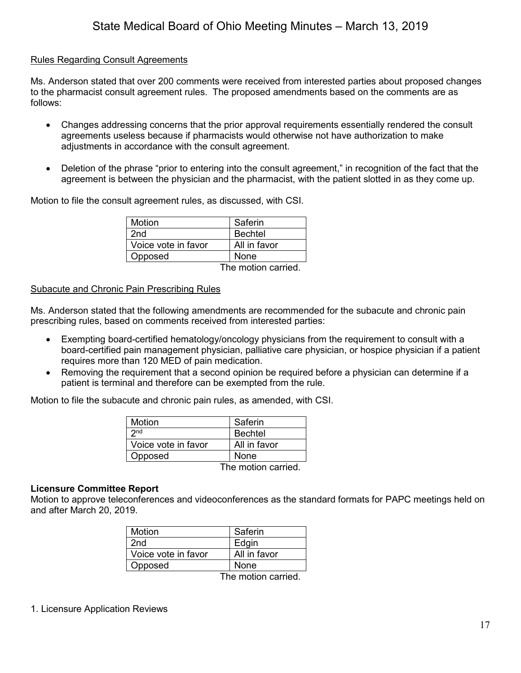# Rules Regarding Consult Agreements

Ms. Anderson stated that over 200 comments were received from interested parties about proposed changes to the pharmacist consult agreement rules. The proposed amendments based on the comments are as follows:

- Changes addressing concerns that the prior approval requirements essentially rendered the consult agreements useless because if pharmacists would otherwise not have authorization to make adjustments in accordance with the consult agreement.
- Deletion of the phrase "prior to entering into the consult agreement," in recognition of the fact that the agreement is between the physician and the pharmacist, with the patient slotted in as they come up.

Motion to file the consult agreement rules, as discussed, with CSI.

| Motion              | Saferin        |
|---------------------|----------------|
| 2nd                 | <b>Bechtel</b> |
| Voice vote in favor | All in favor   |
| Opposed             | None           |
|                     | . .            |

The motion carried.

### Subacute and Chronic Pain Prescribing Rules

Ms. Anderson stated that the following amendments are recommended for the subacute and chronic pain prescribing rules, based on comments received from interested parties:

- Exempting board-certified hematology/oncology physicians from the requirement to consult with a board-certified pain management physician, palliative care physician, or hospice physician if a patient requires more than 120 MED of pain medication.
- Removing the requirement that a second opinion be required before a physician can determine if a patient is terminal and therefore can be exempted from the rule.

Motion to file the subacute and chronic pain rules, as amended, with CSI.

| <b>Motion</b>       | Saferin        |
|---------------------|----------------|
| 2n <sub>d</sub>     | <b>Bechtel</b> |
| Voice vote in favor | All in favor   |
| Opposed             | <b>None</b>    |
|                     | . .            |

The motion carried.

### **Licensure Committee Report**

Motion to approve teleconferences and videoconferences as the standard formats for PAPC meetings held on and after March 20, 2019.

| Motion              | Saferin      |
|---------------------|--------------|
| 2nd                 | Edgin        |
| Voice vote in favor | All in favor |
| Opposed             | None         |
|                     |              |

The motion carried.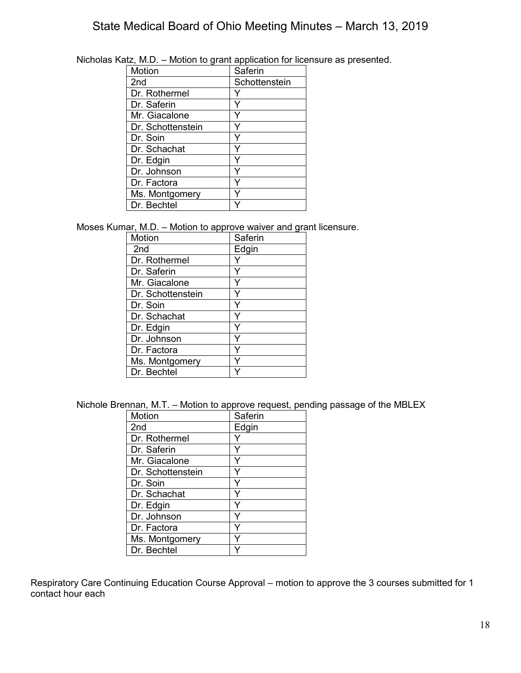| 112. IVI.D.       | <b>INDUCT to grant application for floor</b> |
|-------------------|----------------------------------------------|
| Motion            | Saferin                                      |
| 2 <sub>nd</sub>   | Schottenstein                                |
| Dr. Rothermel     |                                              |
| Dr. Saferin       |                                              |
| Mr. Giacalone     |                                              |
| Dr. Schottenstein |                                              |
| Dr. Soin          |                                              |
| Dr. Schachat      |                                              |
| Dr. Edgin         |                                              |
| Dr. Johnson       |                                              |
| Dr. Factora       |                                              |
| Ms. Montgomery    |                                              |
| Dr. Bechtel       |                                              |

Nicholas Katz, M.D. – Motion to grant application for licensure as presented.

Moses Kumar, M.D. – Motion to approve waiver and grant licensure.

| Motion            | Saferin |
|-------------------|---------|
| 2 <sub>nd</sub>   | Edgin   |
| Dr. Rothermel     |         |
| Dr. Saferin       |         |
| Mr. Giacalone     |         |
| Dr. Schottenstein |         |
| Dr. Soin          |         |
| Dr. Schachat      |         |
| Dr. Edgin         |         |
| Dr. Johnson       |         |
| Dr. Factora       |         |
| Ms. Montgomery    |         |
| Dr. Bechtel       |         |

Nichole Brennan, M.T. – Motion to approve request, pending passage of the MBLEX

| Motion            | Saferin |
|-------------------|---------|
| 2 <sub>nd</sub>   | Edgin   |
| Dr. Rothermel     |         |
| Dr. Saferin       |         |
| Mr. Giacalone     |         |
| Dr. Schottenstein | Y       |
| Dr. Soin          | Y       |
| Dr. Schachat      |         |
| Dr. Edgin         | Υ       |
| Dr. Johnson       | ٧       |
| Dr. Factora       |         |
| Ms. Montgomery    |         |
| Dr. Bechtel       |         |

Respiratory Care Continuing Education Course Approval – motion to approve the 3 courses submitted for 1 contact hour each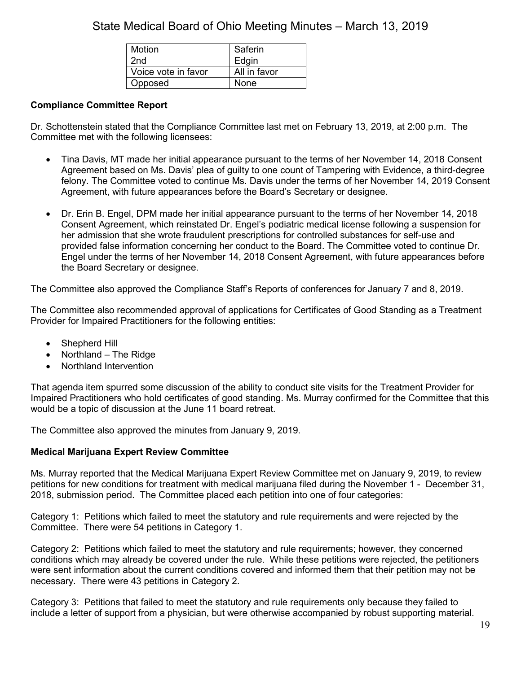| Motion              | Saferin      |
|---------------------|--------------|
| 2nd                 | Edgin        |
| Voice vote in favor | All in favor |
| Opposed             | None         |

# **Compliance Committee Report**

Dr. Schottenstein stated that the Compliance Committee last met on February 13, 2019, at 2:00 p.m. The Committee met with the following licensees:

- Tina Davis, MT made her initial appearance pursuant to the terms of her November 14, 2018 Consent Agreement based on Ms. Davis' plea of guilty to one count of Tampering with Evidence, a third-degree felony. The Committee voted to continue Ms. Davis under the terms of her November 14, 2019 Consent Agreement, with future appearances before the Board's Secretary or designee.
- Dr. Erin B. Engel, DPM made her initial appearance pursuant to the terms of her November 14, 2018 Consent Agreement, which reinstated Dr. Engel's podiatric medical license following a suspension for her admission that she wrote fraudulent prescriptions for controlled substances for self-use and provided false information concerning her conduct to the Board. The Committee voted to continue Dr. Engel under the terms of her November 14, 2018 Consent Agreement, with future appearances before the Board Secretary or designee.

The Committee also approved the Compliance Staff's Reports of conferences for January 7 and 8, 2019.

The Committee also recommended approval of applications for Certificates of Good Standing as a Treatment Provider for Impaired Practitioners for the following entities:

- Shepherd Hill
- Northland The Ridge
- Northland Intervention

That agenda item spurred some discussion of the ability to conduct site visits for the Treatment Provider for Impaired Practitioners who hold certificates of good standing. Ms. Murray confirmed for the Committee that this would be a topic of discussion at the June 11 board retreat.

The Committee also approved the minutes from January 9, 2019.

## **Medical Marijuana Expert Review Committee**

Ms. Murray reported that the Medical Marijuana Expert Review Committee met on January 9, 2019, to review petitions for new conditions for treatment with medical marijuana filed during the November 1 - December 31, 2018, submission period. The Committee placed each petition into one of four categories:

Category 1: Petitions which failed to meet the statutory and rule requirements and were rejected by the Committee. There were 54 petitions in Category 1.

Category 2: Petitions which failed to meet the statutory and rule requirements; however, they concerned conditions which may already be covered under the rule. While these petitions were rejected, the petitioners were sent information about the current conditions covered and informed them that their petition may not be necessary. There were 43 petitions in Category 2.

Category 3: Petitions that failed to meet the statutory and rule requirements only because they failed to include a letter of support from a physician, but were otherwise accompanied by robust supporting material.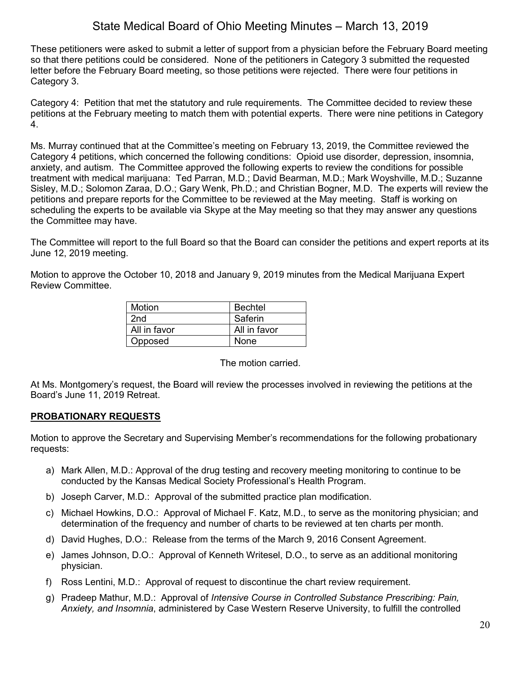These petitioners were asked to submit a letter of support from a physician before the February Board meeting so that there petitions could be considered. None of the petitioners in Category 3 submitted the requested letter before the February Board meeting, so those petitions were rejected. There were four petitions in Category 3.

Category 4: Petition that met the statutory and rule requirements. The Committee decided to review these petitions at the February meeting to match them with potential experts. There were nine petitions in Category 4.

Ms. Murray continued that at the Committee's meeting on February 13, 2019, the Committee reviewed the Category 4 petitions, which concerned the following conditions: Opioid use disorder, depression, insomnia, anxiety, and autism. The Committee approved the following experts to review the conditions for possible treatment with medical marijuana: Ted Parran, M.D.; David Bearman, M.D.; Mark Woyshville, M.D.; Suzanne Sisley, M.D.; Solomon Zaraa, D.O.; Gary Wenk, Ph.D.; and Christian Bogner, M.D. The experts will review the petitions and prepare reports for the Committee to be reviewed at the May meeting. Staff is working on scheduling the experts to be available via Skype at the May meeting so that they may answer any questions the Committee may have.

The Committee will report to the full Board so that the Board can consider the petitions and expert reports at its June 12, 2019 meeting.

Motion to approve the October 10, 2018 and January 9, 2019 minutes from the Medical Marijuana Expert Review Committee.

| Motion          | <b>Bechtel</b> |
|-----------------|----------------|
| 2 <sub>nd</sub> | Saferin        |
| All in favor    | All in favor   |
| Opposed         | <b>None</b>    |

The motion carried.

At Ms. Montgomery's request, the Board will review the processes involved in reviewing the petitions at the Board's June 11, 2019 Retreat.

# **PROBATIONARY REQUESTS**

Motion to approve the Secretary and Supervising Member's recommendations for the following probationary requests:

- a) Mark Allen, M.D.: Approval of the drug testing and recovery meeting monitoring to continue to be conducted by the Kansas Medical Society Professional's Health Program.
- b) Joseph Carver, M.D.: Approval of the submitted practice plan modification.
- c) Michael Howkins, D.O.: Approval of Michael F. Katz, M.D., to serve as the monitoring physician; and determination of the frequency and number of charts to be reviewed at ten charts per month.
- d) David Hughes, D.O.: Release from the terms of the March 9, 2016 Consent Agreement.
- e) James Johnson, D.O.: Approval of Kenneth Writesel, D.O., to serve as an additional monitoring physician.
- f) Ross Lentini, M.D.: Approval of request to discontinue the chart review requirement.
- g) Pradeep Mathur, M.D.: Approval of *Intensive Course in Controlled Substance Prescribing: Pain, Anxiety, and Insomnia*, administered by Case Western Reserve University, to fulfill the controlled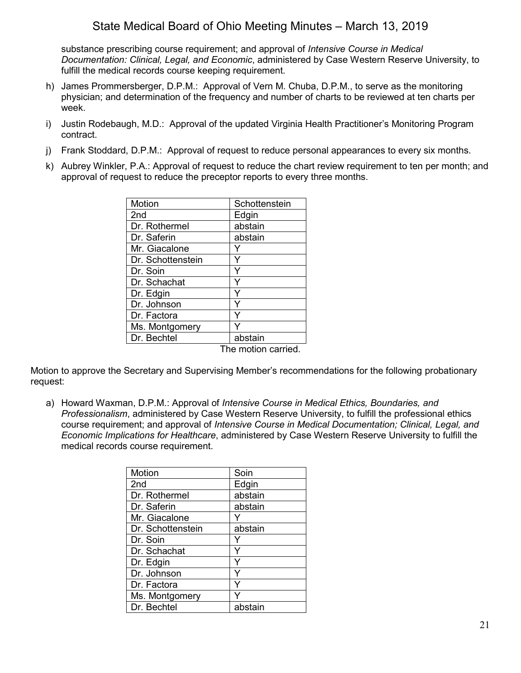substance prescribing course requirement; and approval of *Intensive Course in Medical Documentation: Clinical, Legal, and Economic*, administered by Case Western Reserve University, to fulfill the medical records course keeping requirement.

- h) James Prommersberger, D.P.M.: Approval of Vern M. Chuba, D.P.M., to serve as the monitoring physician; and determination of the frequency and number of charts to be reviewed at ten charts per week.
- i) Justin Rodebaugh, M.D.: Approval of the updated Virginia Health Practitioner's Monitoring Program contract.
- j) Frank Stoddard, D.P.M.: Approval of request to reduce personal appearances to every six months.
- k) Aubrey Winkler, P.A.: Approval of request to reduce the chart review requirement to ten per month; and approval of request to reduce the preceptor reports to every three months.

| Motion            | Schottenstein      |
|-------------------|--------------------|
| 2 <sub>nd</sub>   | Edgin              |
| Dr. Rothermel     | abstain            |
| Dr. Saferin       | abstain            |
| Mr. Giacalone     | Y                  |
| Dr. Schottenstein | Y                  |
| Dr. Soin          | Y                  |
| Dr. Schachat      | Y                  |
| Dr. Edgin         | Y                  |
| Dr. Johnson       | Y                  |
| Dr. Factora       | Y                  |
| Ms. Montgomery    |                    |
| Dr. Bechtel       | abstain            |
|                   | The motion carried |

Motion to approve the Secretary and Supervising Member's recommendations for the following probationary request:

a) Howard Waxman, D.P.M.: Approval of *Intensive Course in Medical Ethics, Boundaries, and Professionalism*, administered by Case Western Reserve University, to fulfill the professional ethics course requirement; and approval of *Intensive Course in Medical Documentation; Clinical, Legal, and Economic Implications for Healthcare*, administered by Case Western Reserve University to fulfill the medical records course requirement.

| Motion            | Soin    |
|-------------------|---------|
| 2 <sub>nd</sub>   | Edgin   |
| Dr. Rothermel     | abstain |
| Dr. Saferin       | abstain |
| Mr. Giacalone     |         |
| Dr. Schottenstein | abstain |
| Dr. Soin          | Y       |
| Dr. Schachat      | Y       |
| Dr. Edgin         | Y       |
| Dr. Johnson       | Y       |
| Dr. Factora       | Y       |
| Ms. Montgomery    |         |
| Dr. Bechtel       | abstain |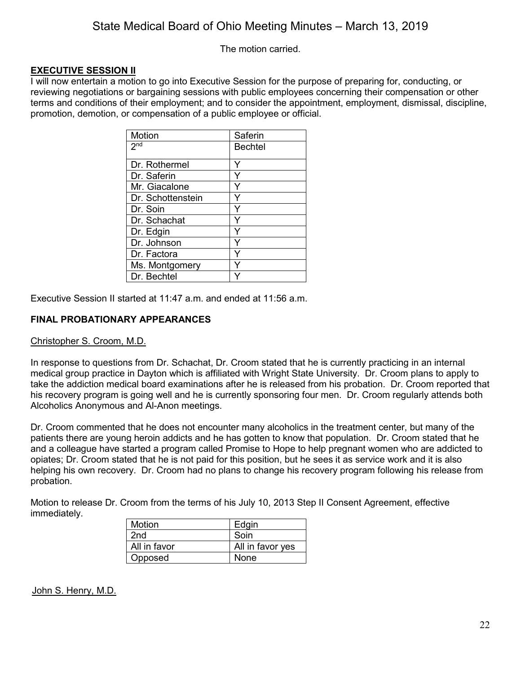The motion carried.

# **EXECUTIVE SESSION II**

I will now entertain a motion to go into Executive Session for the purpose of preparing for, conducting, or reviewing negotiations or bargaining sessions with public employees concerning their compensation or other terms and conditions of their employment; and to consider the appointment, employment, dismissal, discipline, promotion, demotion, or compensation of a public employee or official.

| Motion            | Saferin        |
|-------------------|----------------|
| 2 <sub>nd</sub>   | <b>Bechtel</b> |
|                   |                |
| Dr. Rothermel     |                |
| Dr. Saferin       | Ý              |
| Mr. Giacalone     | Y              |
| Dr. Schottenstein | Y              |
| Dr. Soin          |                |
| Dr. Schachat      | Y              |
| Dr. Edgin         |                |
| Dr. Johnson       | Y              |
| Dr. Factora       |                |
| Ms. Montgomery    |                |
| Dr. Bechtel       |                |

Executive Session II started at 11:47 a.m. and ended at 11:56 a.m.

# **FINAL PROBATIONARY APPEARANCES**

## Christopher S. Croom, M.D.

In response to questions from Dr. Schachat, Dr. Croom stated that he is currently practicing in an internal medical group practice in Dayton which is affiliated with Wright State University. Dr. Croom plans to apply to take the addiction medical board examinations after he is released from his probation. Dr. Croom reported that his recovery program is going well and he is currently sponsoring four men. Dr. Croom regularly attends both Alcoholics Anonymous and Al-Anon meetings.

Dr. Croom commented that he does not encounter many alcoholics in the treatment center, but many of the patients there are young heroin addicts and he has gotten to know that population. Dr. Croom stated that he and a colleague have started a program called Promise to Hope to help pregnant women who are addicted to opiates; Dr. Croom stated that he is not paid for this position, but he sees it as service work and it is also helping his own recovery. Dr. Croom had no plans to change his recovery program following his release from probation.

Motion to release Dr. Croom from the terms of his July 10, 2013 Step II Consent Agreement, effective immediately.

| <b>Motion</b> | Edgin            |
|---------------|------------------|
| 2nd           | Soin             |
| All in favor  | All in favor yes |
| Opposed       | None             |

John S. Henry, M.D.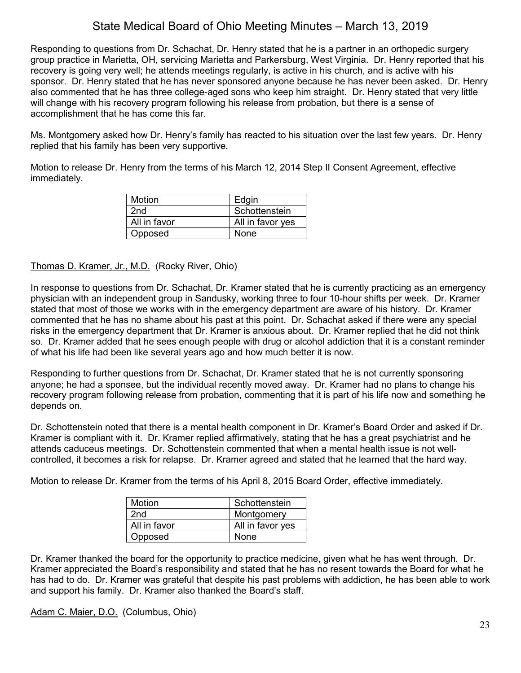Responding to questions from Dr. Schachat, Dr. Henry stated that he is a partner in an orthopedic surgery group practice in Marietta, OH, servicing Marietta and Parkersburg, West Virginia. Dr. Henry reported that his recovery is going very well; he attends meetings regularly, is active in his church, and is active with his sponsor. Dr. Henry stated that he has never sponsored anyone because he has never been asked. Dr. Henry also commented that he has three college-aged sons who keep him straight. Dr. Henry stated that very little will change with his recovery program following his release from probation, but there is a sense of accomplishment that he has come this far.

Ms. Montgomery asked how Dr. Henry's family has reacted to his situation over the last few years. Dr. Henry replied that his family has been very supportive.

Motion to release Dr. Henry from the terms of his March 12, 2014 Step II Consent Agreement, effective immediately.

| Motion       | Edgin            |
|--------------|------------------|
| 2nd          | Schottenstein    |
| All in favor | All in favor yes |
| Opposed      | None             |

## Thomas D. Kramer, Jr., M.D. (Rocky River, Ohio)

In response to questions from Dr. Schachat, Dr. Kramer stated that he is currently practicing as an emergency physician with an independent group in Sandusky, working three to four 10-hour shifts per week. Dr. Kramer stated that most of those we works with in the emergency department are aware of his history. Dr. Kramer commented that he has no shame about his past at this point. Dr. Schachat asked if there were any special risks in the emergency department that Dr. Kramer is anxious about. Dr. Kramer replied that he did not think so. Dr. Kramer added that he sees enough people with drug or alcohol addiction that it is a constant reminder of what his life had been like several years ago and how much better it is now.

Responding to further questions from Dr. Schachat, Dr. Kramer stated that he is not currently sponsoring anyone; he had a sponsee, but the individual recently moved away. Dr. Kramer had no plans to change his recovery program following release from probation, commenting that it is part of his life now and something he depends on.

Dr. Schottenstein noted that there is a mental health component in Dr. Kramer's Board Order and asked if Dr. Kramer is compliant with it. Dr. Kramer replied affirmatively, stating that he has a great psychiatrist and he attends caduceus meetings. Dr. Schottenstein commented that when a mental health issue is not wellcontrolled, it becomes a risk for relapse. Dr. Kramer agreed and stated that he learned that the hard way.

Motion to release Dr. Kramer from the terms of his April 8, 2015 Board Order, effective immediately.

| Motion          | Schottenstein    |
|-----------------|------------------|
| 2 <sub>nd</sub> | Montgomery       |
| All in favor    | All in favor yes |
| Opposed         | <b>None</b>      |

Dr. Kramer thanked the board for the opportunity to practice medicine, given what he has went through. Dr. Kramer appreciated the Board's responsibility and stated that he has no resent towards the Board for what he has had to do. Dr. Kramer was grateful that despite his past problems with addiction, he has been able to work and support his family. Dr. Kramer also thanked the Board's staff.

Adam C. Maier, D.O. (Columbus, Ohio)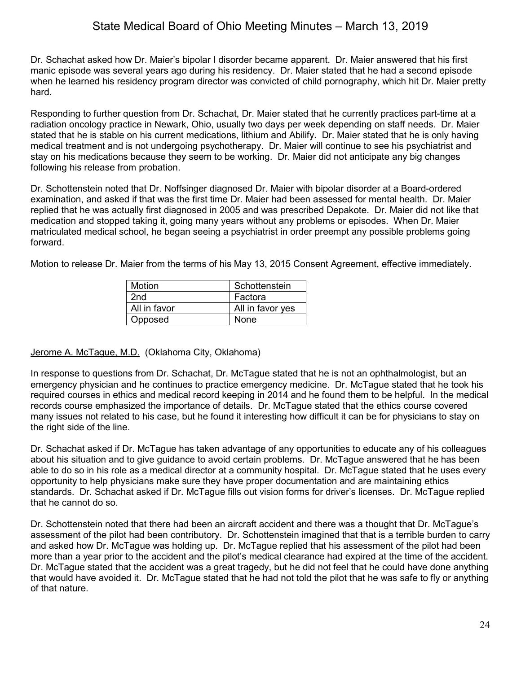Dr. Schachat asked how Dr. Maier's bipolar I disorder became apparent. Dr. Maier answered that his first manic episode was several years ago during his residency. Dr. Maier stated that he had a second episode when he learned his residency program director was convicted of child pornography, which hit Dr. Maier pretty hard.

Responding to further question from Dr. Schachat, Dr. Maier stated that he currently practices part-time at a radiation oncology practice in Newark, Ohio, usually two days per week depending on staff needs. Dr. Maier stated that he is stable on his current medications, lithium and Abilify. Dr. Maier stated that he is only having medical treatment and is not undergoing psychotherapy. Dr. Maier will continue to see his psychiatrist and stay on his medications because they seem to be working. Dr. Maier did not anticipate any big changes following his release from probation.

Dr. Schottenstein noted that Dr. Noffsinger diagnosed Dr. Maier with bipolar disorder at a Board-ordered examination, and asked if that was the first time Dr. Maier had been assessed for mental health. Dr. Maier replied that he was actually first diagnosed in 2005 and was prescribed Depakote. Dr. Maier did not like that medication and stopped taking it, going many years without any problems or episodes. When Dr. Maier matriculated medical school, he began seeing a psychiatrist in order preempt any possible problems going forward.

Motion to release Dr. Maier from the terms of his May 13, 2015 Consent Agreement, effective immediately.

| Motion       | Schottenstein    |
|--------------|------------------|
| 2nd          | Factora          |
| All in favor | All in favor yes |
| Opposed      | None             |

## Jerome A. McTague, M.D. (Oklahoma City, Oklahoma)

In response to questions from Dr. Schachat, Dr. McTague stated that he is not an ophthalmologist, but an emergency physician and he continues to practice emergency medicine. Dr. McTague stated that he took his required courses in ethics and medical record keeping in 2014 and he found them to be helpful. In the medical records course emphasized the importance of details. Dr. McTague stated that the ethics course covered many issues not related to his case, but he found it interesting how difficult it can be for physicians to stay on the right side of the line.

Dr. Schachat asked if Dr. McTague has taken advantage of any opportunities to educate any of his colleagues about his situation and to give guidance to avoid certain problems. Dr. McTague answered that he has been able to do so in his role as a medical director at a community hospital. Dr. McTague stated that he uses every opportunity to help physicians make sure they have proper documentation and are maintaining ethics standards. Dr. Schachat asked if Dr. McTague fills out vision forms for driver's licenses. Dr. McTague replied that he cannot do so.

Dr. Schottenstein noted that there had been an aircraft accident and there was a thought that Dr. McTague's assessment of the pilot had been contributory. Dr. Schottenstein imagined that that is a terrible burden to carry and asked how Dr. McTague was holding up. Dr. McTague replied that his assessment of the pilot had been more than a year prior to the accident and the pilot's medical clearance had expired at the time of the accident. Dr. McTague stated that the accident was a great tragedy, but he did not feel that he could have done anything that would have avoided it. Dr. McTague stated that he had not told the pilot that he was safe to fly or anything of that nature.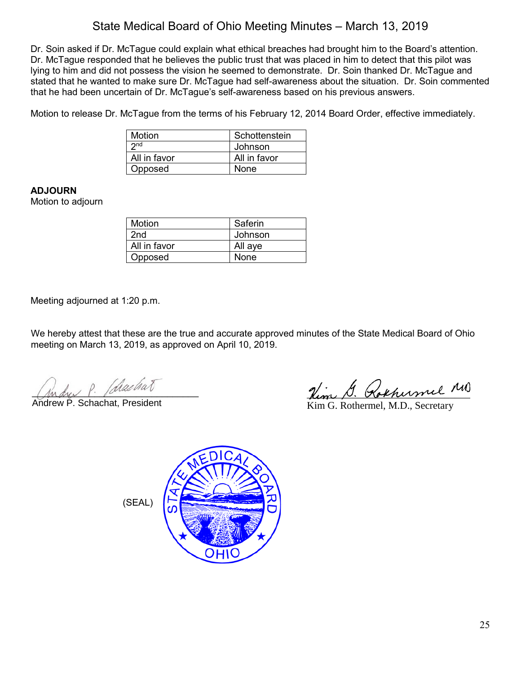Dr. Soin asked if Dr. McTague could explain what ethical breaches had brought him to the Board's attention. Dr. McTague responded that he believes the public trust that was placed in him to detect that this pilot was lying to him and did not possess the vision he seemed to demonstrate. Dr. Soin thanked Dr. McTague and stated that he wanted to make sure Dr. McTague had self-awareness about the situation. Dr. Soin commented that he had been uncertain of Dr. McTague's self-awareness based on his previous answers.

Motion to release Dr. McTague from the terms of his February 12, 2014 Board Order, effective immediately.

| Motion          | Schottenstein |
|-----------------|---------------|
| 2 <sub>nd</sub> | Johnson       |
| All in favor    | All in favor  |
| Opposed         | None          |

# **ADJOURN**

Motion to adjourn

| Motion          | Saferin |
|-----------------|---------|
| 2 <sub>nd</sub> | Johnson |
| All in favor    | All aye |
| Opposed         | None    |

Meeting adjourned at 1:20 p.m.

We hereby attest that these are the true and accurate approved minutes of the State Medical Board of Ohio meeting on March 13, 2019, as approved on April 10, 2019.

Andu P. Chachat

Andrew P. Schachat, President \_\_\_\_\_\_\_\_\_\_\_\_\_\_\_\_\_\_\_\_\_\_\_\_\_\_\_\_\_\_\_\_ Kim G. Rothermel, M.D., Secretary

(SEAL)

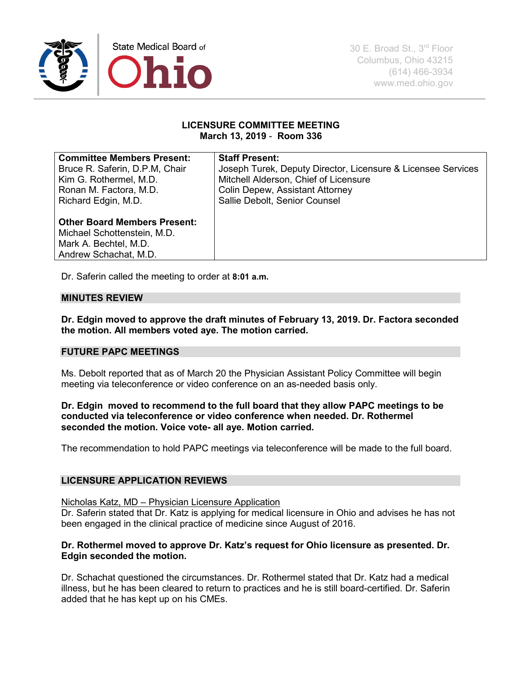

### **LICENSURE COMMITTEE MEETING March 13, 2019** - **Room 336**

| <b>Committee Members Present:</b>   | <b>Staff Present:</b>                                        |
|-------------------------------------|--------------------------------------------------------------|
| Bruce R. Saferin, D.P.M. Chair      | Joseph Turek, Deputy Director, Licensure & Licensee Services |
| Kim G. Rothermel, M.D.              | Mitchell Alderson, Chief of Licensure                        |
| Ronan M. Factora, M.D.              | <b>Colin Depew, Assistant Attorney</b>                       |
| Richard Edgin, M.D.                 | Sallie Debolt, Senior Counsel                                |
|                                     |                                                              |
| <b>Other Board Members Present:</b> |                                                              |
| Michael Schottenstein, M.D.         |                                                              |
| Mark A. Bechtel, M.D.               |                                                              |
| Andrew Schachat, M.D.               |                                                              |
|                                     |                                                              |

Dr. Saferin called the meeting to order at **8:01 a.m.** 

# **MINUTES REVIEW**

**Dr. Edgin moved to approve the draft minutes of February 13, 2019. Dr. Factora seconded the motion. All members voted aye. The motion carried.**

### **FUTURE PAPC MEETINGS**

Ms. Debolt reported that as of March 20 the Physician Assistant Policy Committee will begin meeting via teleconference or video conference on an as-needed basis only.

### **Dr. Edgin moved to recommend to the full board that they allow PAPC meetings to be conducted via teleconference or video conference when needed. Dr. Rothermel seconded the motion. Voice vote- all aye. Motion carried.**

The recommendation to hold PAPC meetings via teleconference will be made to the full board.

### **LICENSURE APPLICATION REVIEWS**

### Nicholas Katz, MD – Physician Licensure Application

Dr. Saferin stated that Dr. Katz is applying for medical licensure in Ohio and advises he has not been engaged in the clinical practice of medicine since August of 2016.

### **Dr. Rothermel moved to approve Dr. Katz's request for Ohio licensure as presented. Dr. Edgin seconded the motion.**

Dr. Schachat questioned the circumstances. Dr. Rothermel stated that Dr. Katz had a medical illness, but he has been cleared to return to practices and he is still board-certified. Dr. Saferin added that he has kept up on his CMEs.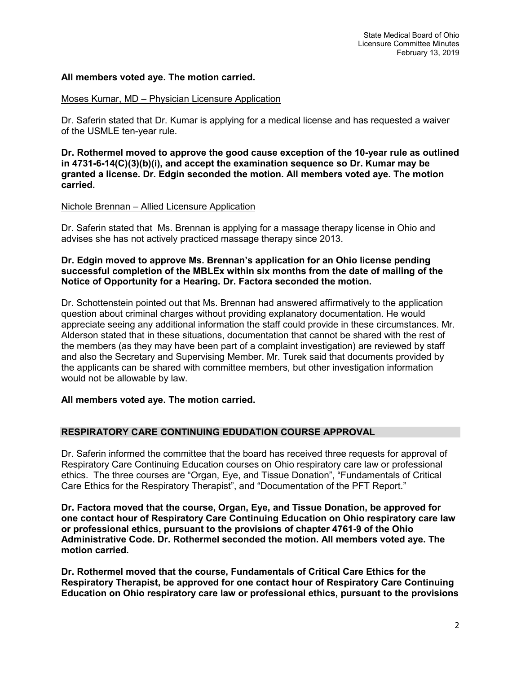### **All members voted aye. The motion carried.**

#### Moses Kumar, MD – Physician Licensure Application

Dr. Saferin stated that Dr. Kumar is applying for a medical license and has requested a waiver of the USMLE ten-year rule.

**Dr. Rothermel moved to approve the good cause exception of the 10-year rule as outlined in 4731-6-14(C)(3)(b)(i), and accept the examination sequence so Dr. Kumar may be granted a license. Dr. Edgin seconded the motion. All members voted aye. The motion carried.**

### Nichole Brennan – Allied Licensure Application

Dr. Saferin stated that Ms. Brennan is applying for a massage therapy license in Ohio and advises she has not actively practiced massage therapy since 2013.

### **Dr. Edgin moved to approve Ms. Brennan's application for an Ohio license pending successful completion of the MBLEx within six months from the date of mailing of the Notice of Opportunity for a Hearing. Dr. Factora seconded the motion.**

Dr. Schottenstein pointed out that Ms. Brennan had answered affirmatively to the application question about criminal charges without providing explanatory documentation. He would appreciate seeing any additional information the staff could provide in these circumstances. Mr. Alderson stated that in these situations, documentation that cannot be shared with the rest of the members (as they may have been part of a complaint investigation) are reviewed by staff and also the Secretary and Supervising Member. Mr. Turek said that documents provided by the applicants can be shared with committee members, but other investigation information would not be allowable by law.

## **All members voted aye. The motion carried.**

## **RESPIRATORY CARE CONTINUING EDUDATION COURSE APPROVAL**

Dr. Saferin informed the committee that the board has received three requests for approval of Respiratory Care Continuing Education courses on Ohio respiratory care law or professional ethics. The three courses are "Organ, Eye, and Tissue Donation", "Fundamentals of Critical Care Ethics for the Respiratory Therapist", and "Documentation of the PFT Report."

**Dr. Factora moved that the course, Organ, Eye, and Tissue Donation, be approved for one contact hour of Respiratory Care Continuing Education on Ohio respiratory care law or professional ethics, pursuant to the provisions of chapter 4761-9 of the Ohio Administrative Code. Dr. Rothermel seconded the motion. All members voted aye. The motion carried.**

**Dr. Rothermel moved that the course, Fundamentals of Critical Care Ethics for the Respiratory Therapist, be approved for one contact hour of Respiratory Care Continuing Education on Ohio respiratory care law or professional ethics, pursuant to the provisions**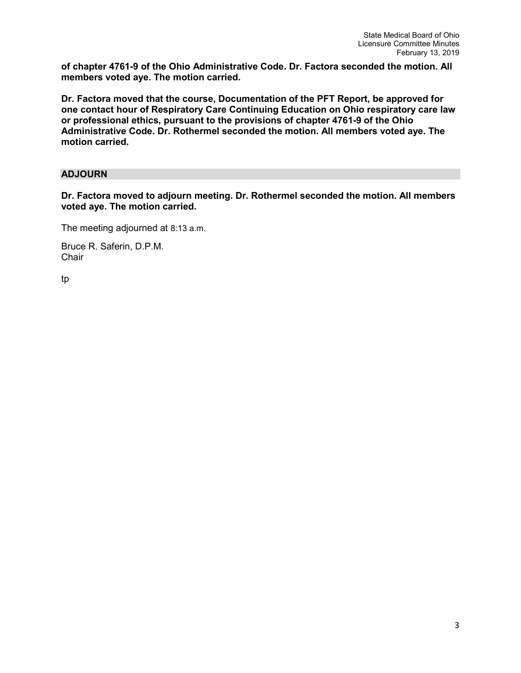**of chapter 4761-9 of the Ohio Administrative Code. Dr. Factora seconded the motion. All members voted aye. The motion carried.**

**Dr. Factora moved that the course, Documentation of the PFT Report, be approved for one contact hour of Respiratory Care Continuing Education on Ohio respiratory care law or professional ethics, pursuant to the provisions of chapter 4761-9 of the Ohio Administrative Code. Dr. Rothermel seconded the motion. All members voted aye. The motion carried.**

# **ADJOURN**

**Dr. Factora moved to adjourn meeting. Dr. Rothermel seconded the motion. All members voted aye. The motion carried.**

The meeting adjourned at 8:13 a.m.

Bruce R. Saferin, D.P.M. **Chair** 

tp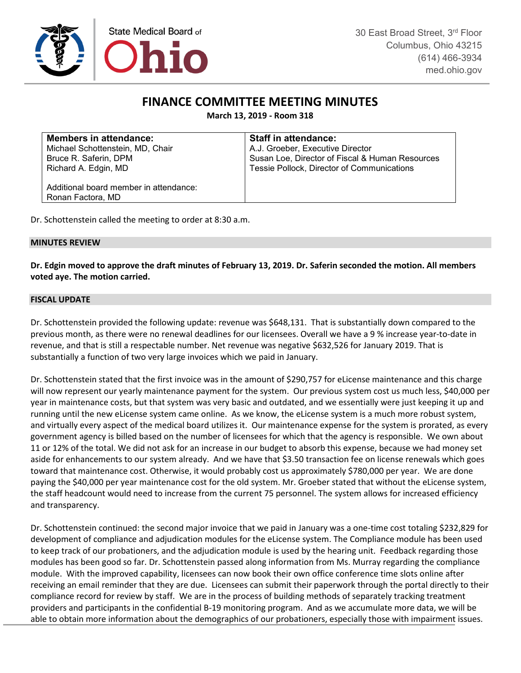

# **FINANCE COMMITTEE MEETING MINUTES**

**March 13, 2019 - Room 318**

| <b>Members in attendance:</b>                               | <b>Staff in attendance:</b>                     |
|-------------------------------------------------------------|-------------------------------------------------|
| Michael Schottenstein, MD, Chair                            | A.J. Groeber, Executive Director                |
| Bruce R. Saferin, DPM                                       | Susan Loe, Director of Fiscal & Human Resources |
| Richard A. Edgin, MD                                        | Tessie Pollock, Director of Communications      |
| Additional board member in attendance:<br>Ronan Factora, MD |                                                 |

Dr. Schottenstein called the meeting to order at 8:30 a.m.

### **MINUTES REVIEW**

**Dr. Edgin moved to approve the draft minutes of February 13, 2019. Dr. Saferin seconded the motion. All members voted aye. The motion carried.**

#### **FISCAL UPDATE**

Dr. Schottenstein provided the following update: revenue was \$648,131. That is substantially down compared to the previous month, as there were no renewal deadlines for our licensees. Overall we have a 9 % increase year-to-date in revenue, and that is still a respectable number. Net revenue was negative \$632,526 for January 2019. That is substantially a function of two very large invoices which we paid in January.

Dr. Schottenstein stated that the first invoice was in the amount of \$290,757 for eLicense maintenance and this charge will now represent our yearly maintenance payment for the system. Our previous system cost us much less, \$40,000 per year in maintenance costs, but that system was very basic and outdated, and we essentially were just keeping it up and running until the new eLicense system came online. As we know, the eLicense system is a much more robust system, and virtually every aspect of the medical board utilizes it. Our maintenance expense for the system is prorated, as every government agency is billed based on the number of licensees for which that the agency is responsible. We own about 11 or 12% of the total. We did not ask for an increase in our budget to absorb this expense, because we had money set aside for enhancements to our system already. And we have that \$3.50 transaction fee on license renewals which goes toward that maintenance cost. Otherwise, it would probably cost us approximately \$780,000 per year. We are done paying the \$40,000 per year maintenance cost for the old system. Mr. Groeber stated that without the eLicense system, the staff headcount would need to increase from the current 75 personnel. The system allows for increased efficiency and transparency.

Dr. Schottenstein continued: the second major invoice that we paid in January was a one-time cost totaling \$232,829 for development of compliance and adjudication modules for the eLicense system. The Compliance module has been used to keep track of our probationers, and the adjudication module is used by the hearing unit. Feedback regarding those modules has been good so far. Dr. Schottenstein passed along information from Ms. Murray regarding the compliance module. With the improved capability, licensees can now book their own office conference time slots online after receiving an email reminder that they are due. Licensees can submit their paperwork through the portal directly to their compliance record for review by staff. We are in the process of building methods of separately tracking treatment providers and participants in the confidential B-19 monitoring program. And as we accumulate more data, we will be able to obtain more information about the demographics of our probationers, especially those with impairment issues.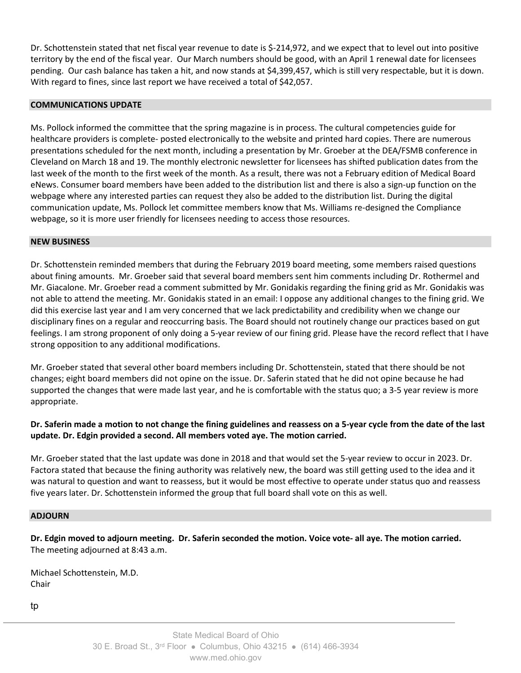Dr. Schottenstein stated that net fiscal year revenue to date is \$-214,972, and we expect that to level out into positive territory by the end of the fiscal year. Our March numbers should be good, with an April 1 renewal date for licensees pending. Our cash balance has taken a hit, and now stands at \$4,399,457, which is still very respectable, but it is down. With regard to fines, since last report we have received a total of \$42,057.

#### **COMMUNICATIONS UPDATE**

Ms. Pollock informed the committee that the spring magazine is in process. The cultural competencies guide for healthcare providers is complete- posted electronically to the website and printed hard copies. There are numerous presentations scheduled for the next month, including a presentation by Mr. Groeber at the DEA/FSMB conference in Cleveland on March 18 and 19. The monthly electronic newsletter for licensees has shifted publication dates from the last week of the month to the first week of the month. As a result, there was not a February edition of Medical Board eNews. Consumer board members have been added to the distribution list and there is also a sign-up function on the webpage where any interested parties can request they also be added to the distribution list. During the digital communication update, Ms. Pollock let committee members know that Ms. Williams re-designed the Compliance webpage, so it is more user friendly for licensees needing to access those resources.

#### **NEW BUSINESS**

Dr. Schottenstein reminded members that during the February 2019 board meeting, some members raised questions about fining amounts. Mr. Groeber said that several board members sent him comments including Dr. Rothermel and Mr. Giacalone. Mr. Groeber read a comment submitted by Mr. Gonidakis regarding the fining grid as Mr. Gonidakis was not able to attend the meeting. Mr. Gonidakis stated in an email: I oppose any additional changes to the fining grid. We did this exercise last year and I am very concerned that we lack predictability and credibility when we change our disciplinary fines on a regular and reoccurring basis. The Board should not routinely change our practices based on gut feelings. I am strong proponent of only doing a 5-year review of our fining grid. Please have the record reflect that I have strong opposition to any additional modifications.

Mr. Groeber stated that several other board members including Dr. Schottenstein, stated that there should be not changes; eight board members did not opine on the issue. Dr. Saferin stated that he did not opine because he had supported the changes that were made last year, and he is comfortable with the status quo; a 3-5 year review is more appropriate.

## **Dr. Saferin made a motion to not change the fining guidelines and reassess on a 5-year cycle from the date of the last update. Dr. Edgin provided a second. All members voted aye. The motion carried.**

Mr. Groeber stated that the last update was done in 2018 and that would set the 5-year review to occur in 2023. Dr. Factora stated that because the fining authority was relatively new, the board was still getting used to the idea and it was natural to question and want to reassess, but it would be most effective to operate under status quo and reassess five years later. Dr. Schottenstein informed the group that full board shall vote on this as well.

#### **ADJOURN**

**Dr. Edgin moved to adjourn meeting. Dr. Saferin seconded the motion. Voice vote- all aye. The motion carried.** The meeting adjourned at 8:43 a.m.

Michael Schottenstein, M.D. Chair

tp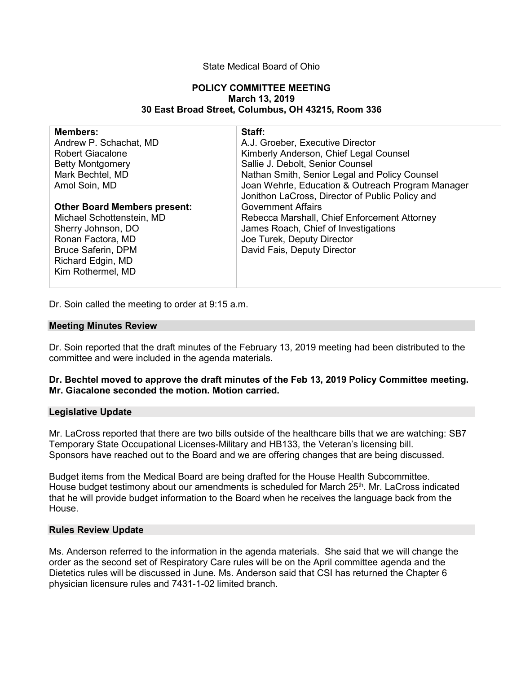### State Medical Board of Ohio

#### **POLICY COMMITTEE MEETING March 13, 2019 30 East Broad Street, Columbus, OH 43215, Room 336**

| <b>Members:</b>                     | Staff:                                            |
|-------------------------------------|---------------------------------------------------|
| Andrew P. Schachat, MD              | A.J. Groeber, Executive Director                  |
| <b>Robert Giacalone</b>             | Kimberly Anderson, Chief Legal Counsel            |
| <b>Betty Montgomery</b>             | Sallie J. Debolt, Senior Counsel                  |
| Mark Bechtel, MD                    | Nathan Smith, Senior Legal and Policy Counsel     |
| Amol Soin, MD                       | Joan Wehrle, Education & Outreach Program Manager |
|                                     | Jonithon LaCross, Director of Public Policy and   |
| <b>Other Board Members present:</b> | <b>Government Affairs</b>                         |
| Michael Schottenstein, MD           | Rebecca Marshall, Chief Enforcement Attorney      |
| Sherry Johnson, DO                  | James Roach, Chief of Investigations              |
| Ronan Factora, MD                   | Joe Turek, Deputy Director                        |
| <b>Bruce Saferin, DPM</b>           | David Fais, Deputy Director                       |
| Richard Edgin, MD                   |                                                   |
| Kim Rothermel, MD                   |                                                   |
|                                     |                                                   |

Dr. Soin called the meeting to order at 9:15 a.m.

#### **Meeting Minutes Review**

Dr. Soin reported that the draft minutes of the February 13, 2019 meeting had been distributed to the committee and were included in the agenda materials.

### **Dr. Bechtel moved to approve the draft minutes of the Feb 13, 2019 Policy Committee meeting. Mr. Giacalone seconded the motion. Motion carried.**

### **Legislative Update**

Mr. LaCross reported that there are two bills outside of the healthcare bills that we are watching: SB7 Temporary State Occupational Licenses-Military and HB133, the Veteran's licensing bill. Sponsors have reached out to the Board and we are offering changes that are being discussed.

Budget items from the Medical Board are being drafted for the House Health Subcommittee. House budget testimony about our amendments is scheduled for March 25<sup>th</sup>. Mr. LaCross indicated that he will provide budget information to the Board when he receives the language back from the House.

#### **Rules Review Update**

Ms. Anderson referred to the information in the agenda materials. She said that we will change the order as the second set of Respiratory Care rules will be on the April committee agenda and the Dietetics rules will be discussed in June. Ms. Anderson said that CSI has returned the Chapter 6 physician licensure rules and 7431-1-02 limited branch.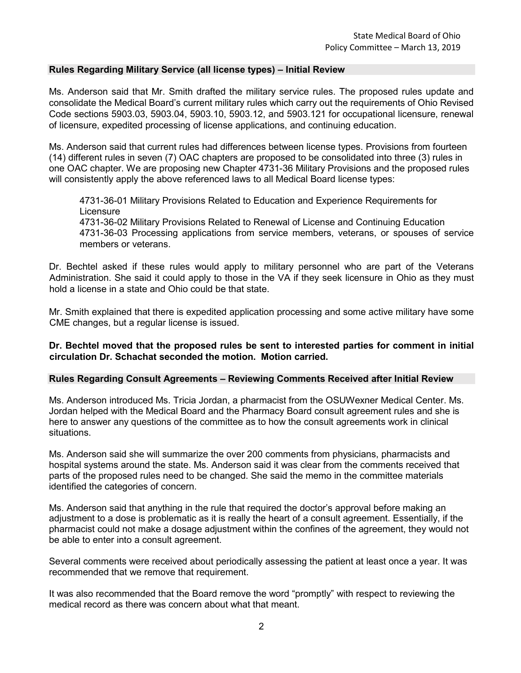### **Rules Regarding Military Service (all license types) – Initial Review**

Ms. Anderson said that Mr. Smith drafted the military service rules. The proposed rules update and consolidate the Medical Board's current military rules which carry out the requirements of Ohio Revised Code sections 5903.03, 5903.04, 5903.10, 5903.12, and 5903.121 for occupational licensure, renewal of licensure, expedited processing of license applications, and continuing education.

Ms. Anderson said that current rules had differences between license types. Provisions from fourteen (14) different rules in seven (7) OAC chapters are proposed to be consolidated into three (3) rules in one OAC chapter. We are proposing new Chapter 4731-36 Military Provisions and the proposed rules will consistently apply the above referenced laws to all Medical Board license types:

4731-36-01 Military Provisions Related to Education and Experience Requirements for **Licensure** 

4731-36-02 Military Provisions Related to Renewal of License and Continuing Education 4731-36-03 Processing applications from service members, veterans, or spouses of service members or veterans.

Dr. Bechtel asked if these rules would apply to military personnel who are part of the Veterans Administration. She said it could apply to those in the VA if they seek licensure in Ohio as they must hold a license in a state and Ohio could be that state.

Mr. Smith explained that there is expedited application processing and some active military have some CME changes, but a regular license is issued.

### **Dr. Bechtel moved that the proposed rules be sent to interested parties for comment in initial circulation Dr. Schachat seconded the motion. Motion carried.**

### **Rules Regarding Consult Agreements – Reviewing Comments Received after Initial Review**

Ms. Anderson introduced Ms. Tricia Jordan, a pharmacist from the OSUWexner Medical Center. Ms. Jordan helped with the Medical Board and the Pharmacy Board consult agreement rules and she is here to answer any questions of the committee as to how the consult agreements work in clinical situations.

Ms. Anderson said she will summarize the over 200 comments from physicians, pharmacists and hospital systems around the state. Ms. Anderson said it was clear from the comments received that parts of the proposed rules need to be changed. She said the memo in the committee materials identified the categories of concern.

Ms. Anderson said that anything in the rule that required the doctor's approval before making an adjustment to a dose is problematic as it is really the heart of a consult agreement. Essentially, if the pharmacist could not make a dosage adjustment within the confines of the agreement, they would not be able to enter into a consult agreement.

Several comments were received about periodically assessing the patient at least once a year. It was recommended that we remove that requirement.

It was also recommended that the Board remove the word "promptly" with respect to reviewing the medical record as there was concern about what that meant.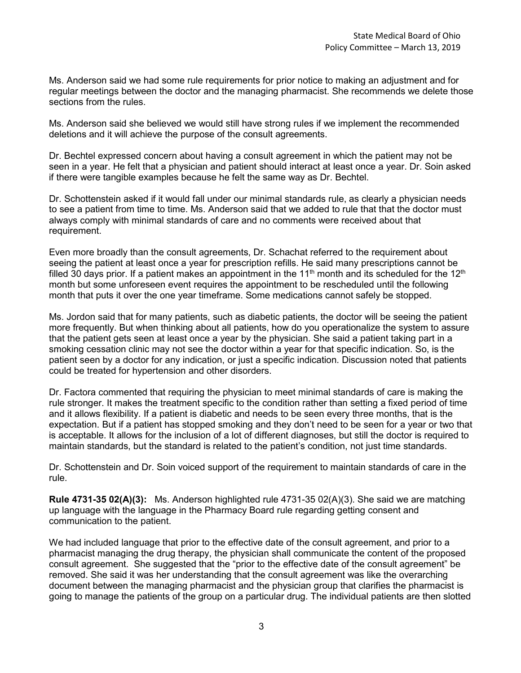Ms. Anderson said we had some rule requirements for prior notice to making an adjustment and for regular meetings between the doctor and the managing pharmacist. She recommends we delete those sections from the rules.

Ms. Anderson said she believed we would still have strong rules if we implement the recommended deletions and it will achieve the purpose of the consult agreements.

Dr. Bechtel expressed concern about having a consult agreement in which the patient may not be seen in a year. He felt that a physician and patient should interact at least once a year. Dr. Soin asked if there were tangible examples because he felt the same way as Dr. Bechtel.

Dr. Schottenstein asked if it would fall under our minimal standards rule, as clearly a physician needs to see a patient from time to time. Ms. Anderson said that we added to rule that that the doctor must always comply with minimal standards of care and no comments were received about that requirement.

Even more broadly than the consult agreements, Dr. Schachat referred to the requirement about seeing the patient at least once a year for prescription refills. He said many prescriptions cannot be filled 30 days prior. If a patient makes an appointment in the 11<sup>th</sup> month and its scheduled for the 12<sup>th</sup> month but some unforeseen event requires the appointment to be rescheduled until the following month that puts it over the one year timeframe. Some medications cannot safely be stopped.

Ms. Jordon said that for many patients, such as diabetic patients, the doctor will be seeing the patient more frequently. But when thinking about all patients, how do you operationalize the system to assure that the patient gets seen at least once a year by the physician. She said a patient taking part in a smoking cessation clinic may not see the doctor within a year for that specific indication. So, is the patient seen by a doctor for any indication, or just a specific indication. Discussion noted that patients could be treated for hypertension and other disorders.

Dr. Factora commented that requiring the physician to meet minimal standards of care is making the rule stronger. It makes the treatment specific to the condition rather than setting a fixed period of time and it allows flexibility. If a patient is diabetic and needs to be seen every three months, that is the expectation. But if a patient has stopped smoking and they don't need to be seen for a year or two that is acceptable. It allows for the inclusion of a lot of different diagnoses, but still the doctor is required to maintain standards, but the standard is related to the patient's condition, not just time standards.

Dr. Schottenstein and Dr. Soin voiced support of the requirement to maintain standards of care in the rule.

**Rule 4731-35 02(A)(3):** Ms. Anderson highlighted rule 4731-35 02(A)(3). She said we are matching up language with the language in the Pharmacy Board rule regarding getting consent and communication to the patient.

We had included language that prior to the effective date of the consult agreement, and prior to a pharmacist managing the drug therapy, the physician shall communicate the content of the proposed consult agreement. She suggested that the "prior to the effective date of the consult agreement" be removed. She said it was her understanding that the consult agreement was like the overarching document between the managing pharmacist and the physician group that clarifies the pharmacist is going to manage the patients of the group on a particular drug. The individual patients are then slotted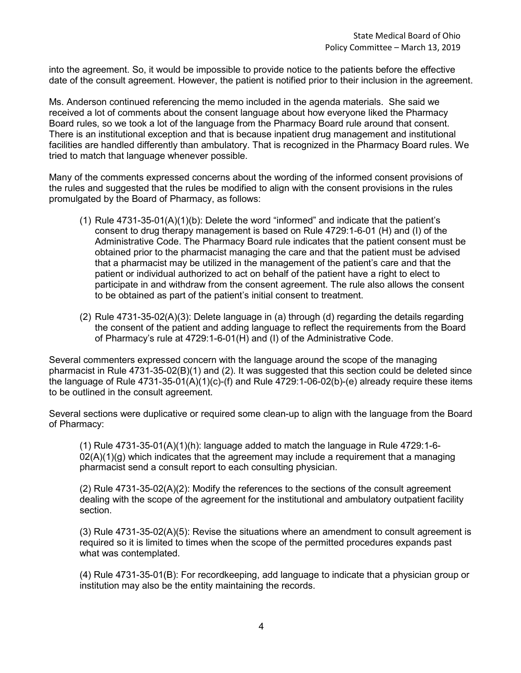into the agreement. So, it would be impossible to provide notice to the patients before the effective date of the consult agreement. However, the patient is notified prior to their inclusion in the agreement.

Ms. Anderson continued referencing the memo included in the agenda materials. She said we received a lot of comments about the consent language about how everyone liked the Pharmacy Board rules, so we took a lot of the language from the Pharmacy Board rule around that consent. There is an institutional exception and that is because inpatient drug management and institutional facilities are handled differently than ambulatory. That is recognized in the Pharmacy Board rules. We tried to match that language whenever possible.

Many of the comments expressed concerns about the wording of the informed consent provisions of the rules and suggested that the rules be modified to align with the consent provisions in the rules promulgated by the Board of Pharmacy, as follows:

- (1) Rule 4731-35-01(A)(1)(b): Delete the word "informed" and indicate that the patient's consent to drug therapy management is based on Rule 4729:1-6-01 (H) and (I) of the Administrative Code. The Pharmacy Board rule indicates that the patient consent must be obtained prior to the pharmacist managing the care and that the patient must be advised that a pharmacist may be utilized in the management of the patient's care and that the patient or individual authorized to act on behalf of the patient have a right to elect to participate in and withdraw from the consent agreement. The rule also allows the consent to be obtained as part of the patient's initial consent to treatment.
- (2) Rule 4731-35-02(A)(3): Delete language in (a) through (d) regarding the details regarding the consent of the patient and adding language to reflect the requirements from the Board of Pharmacy's rule at 4729:1-6-01(H) and (I) of the Administrative Code.

Several commenters expressed concern with the language around the scope of the managing pharmacist in Rule 4731-35-02(B)(1) and (2). It was suggested that this section could be deleted since the language of Rule 4731-35-01(A)(1)(c)-(f) and Rule 4729:1-06-02(b)-(e) already require these items to be outlined in the consult agreement.

Several sections were duplicative or required some clean-up to align with the language from the Board of Pharmacy:

(1) Rule 4731-35-01(A)(1)(h): language added to match the language in Rule 4729:1-6-  $02(A)(1)(g)$  which indicates that the agreement may include a requirement that a managing pharmacist send a consult report to each consulting physician.

(2) Rule 4731-35-02(A)(2): Modify the references to the sections of the consult agreement dealing with the scope of the agreement for the institutional and ambulatory outpatient facility section.

(3) Rule 4731-35-02(A)(5): Revise the situations where an amendment to consult agreement is required so it is limited to times when the scope of the permitted procedures expands past what was contemplated.

(4) Rule 4731-35-01(B): For recordkeeping, add language to indicate that a physician group or institution may also be the entity maintaining the records.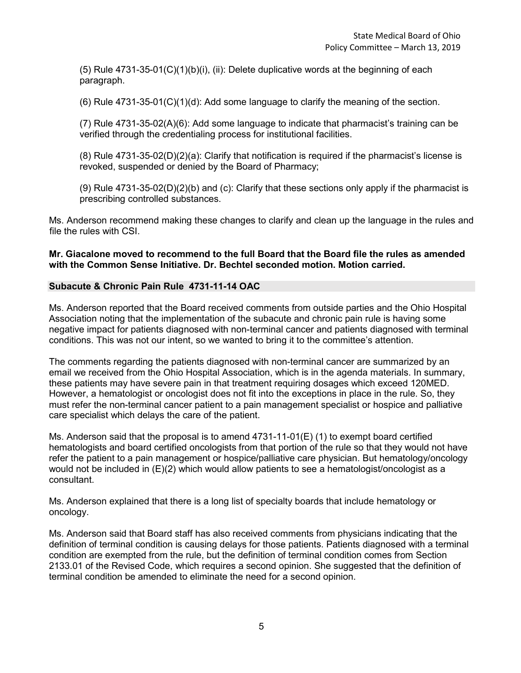(5) Rule 4731-35-01(C)(1)(b)(i), (ii): Delete duplicative words at the beginning of each paragraph.

 $(6)$  Rule 4731-35-01 $(C)(1)(d)$ : Add some language to clarify the meaning of the section.

(7) Rule 4731-35-02(A)(6): Add some language to indicate that pharmacist's training can be verified through the credentialing process for institutional facilities.

(8) Rule 4731-35-02(D)(2)(a): Clarify that notification is required if the pharmacist's license is revoked, suspended or denied by the Board of Pharmacy;

(9) Rule 4731-35-02(D)(2)(b) and (c): Clarify that these sections only apply if the pharmacist is prescribing controlled substances.

Ms. Anderson recommend making these changes to clarify and clean up the language in the rules and file the rules with CSI.

### **Mr. Giacalone moved to recommend to the full Board that the Board file the rules as amended with the Common Sense Initiative. Dr. Bechtel seconded motion. Motion carried.**

### **Subacute & Chronic Pain Rule 4731-11-14 OAC**

Ms. Anderson reported that the Board received comments from outside parties and the Ohio Hospital Association noting that the implementation of the subacute and chronic pain rule is having some negative impact for patients diagnosed with non-terminal cancer and patients diagnosed with terminal conditions. This was not our intent, so we wanted to bring it to the committee's attention.

The comments regarding the patients diagnosed with non-terminal cancer are summarized by an email we received from the Ohio Hospital Association, which is in the agenda materials. In summary, these patients may have severe pain in that treatment requiring dosages which exceed 120MED. However, a hematologist or oncologist does not fit into the exceptions in place in the rule. So, they must refer the non-terminal cancer patient to a pain management specialist or hospice and palliative care specialist which delays the care of the patient.

Ms. Anderson said that the proposal is to amend 4731-11-01(E) (1) to exempt board certified hematologists and board certified oncologists from that portion of the rule so that they would not have refer the patient to a pain management or hospice/palliative care physician. But hematology/oncology would not be included in (E)(2) which would allow patients to see a hematologist/oncologist as a consultant.

Ms. Anderson explained that there is a long list of specialty boards that include hematology or oncology.

Ms. Anderson said that Board staff has also received comments from physicians indicating that the definition of terminal condition is causing delays for those patients. Patients diagnosed with a terminal condition are exempted from the rule, but the definition of terminal condition comes from Section 2133.01 of the Revised Code, which requires a second opinion. She suggested that the definition of terminal condition be amended to eliminate the need for a second opinion.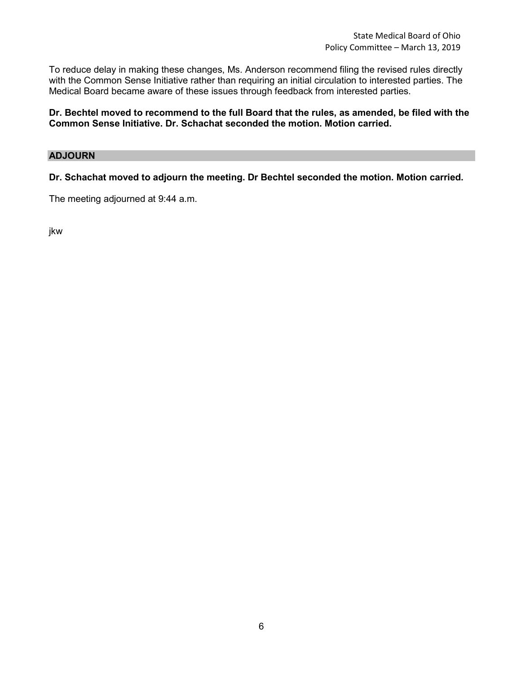To reduce delay in making these changes, Ms. Anderson recommend filing the revised rules directly with the Common Sense Initiative rather than requiring an initial circulation to interested parties. The Medical Board became aware of these issues through feedback from interested parties.

**Dr. Bechtel moved to recommend to the full Board that the rules, as amended, be filed with the Common Sense Initiative. Dr. Schachat seconded the motion. Motion carried.**

## **ADJOURN**

**Dr. Schachat moved to adjourn the meeting. Dr Bechtel seconded the motion. Motion carried.**

The meeting adjourned at 9:44 a.m.

jkw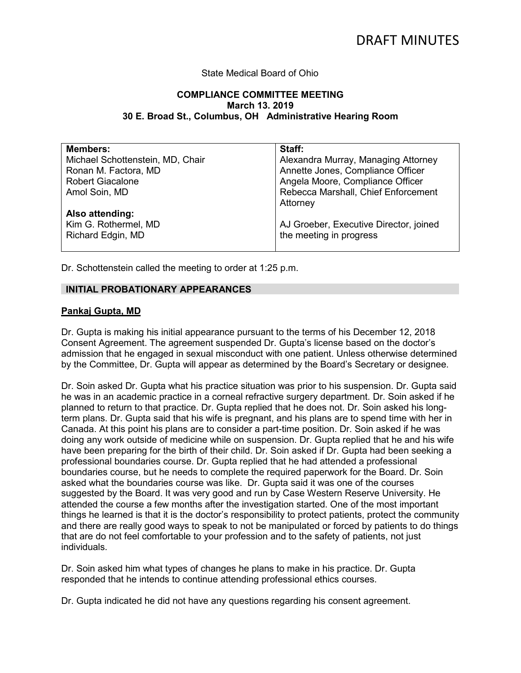### State Medical Board of Ohio

### **COMPLIANCE COMMITTEE MEETING March 13. 2019 30 E. Broad St., Columbus, OH Administrative Hearing Room**

| <b>Members:</b>                  | Staff:                                 |
|----------------------------------|----------------------------------------|
| Michael Schottenstein, MD, Chair | Alexandra Murray, Managing Attorney    |
| Ronan M. Factora, MD             | Annette Jones, Compliance Officer      |
| <b>Robert Giacalone</b>          | Angela Moore, Compliance Officer       |
| Amol Soin, MD                    | Rebecca Marshall, Chief Enforcement    |
|                                  | Attorney                               |
| Also attending:                  |                                        |
| Kim G. Rothermel, MD             | AJ Groeber, Executive Director, joined |
| Richard Edgin, MD                | the meeting in progress                |
|                                  |                                        |

Dr. Schottenstein called the meeting to order at 1:25 p.m.

### **INITIAL PROBATIONARY APPEARANCES**

### **Pankaj Gupta, MD**

Dr. Gupta is making his initial appearance pursuant to the terms of his December 12, 2018 Consent Agreement. The agreement suspended Dr. Gupta's license based on the doctor's admission that he engaged in sexual misconduct with one patient. Unless otherwise determined by the Committee, Dr. Gupta will appear as determined by the Board's Secretary or designee.

Dr. Soin asked Dr. Gupta what his practice situation was prior to his suspension. Dr. Gupta said he was in an academic practice in a corneal refractive surgery department. Dr. Soin asked if he planned to return to that practice. Dr. Gupta replied that he does not. Dr. Soin asked his longterm plans. Dr. Gupta said that his wife is pregnant, and his plans are to spend time with her in Canada. At this point his plans are to consider a part-time position. Dr. Soin asked if he was doing any work outside of medicine while on suspension. Dr. Gupta replied that he and his wife have been preparing for the birth of their child. Dr. Soin asked if Dr. Gupta had been seeking a professional boundaries course. Dr. Gupta replied that he had attended a professional boundaries course, but he needs to complete the required paperwork for the Board. Dr. Soin asked what the boundaries course was like. Dr. Gupta said it was one of the courses suggested by the Board. It was very good and run by Case Western Reserve University. He attended the course a few months after the investigation started. One of the most important things he learned is that it is the doctor's responsibility to protect patients, protect the community and there are really good ways to speak to not be manipulated or forced by patients to do things that are do not feel comfortable to your profession and to the safety of patients, not just individuals.

Dr. Soin asked him what types of changes he plans to make in his practice. Dr. Gupta responded that he intends to continue attending professional ethics courses.

Dr. Gupta indicated he did not have any questions regarding his consent agreement.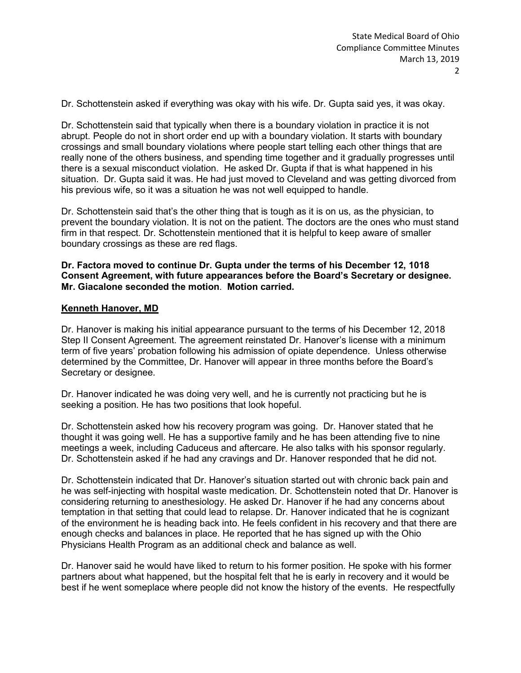Dr. Schottenstein asked if everything was okay with his wife. Dr. Gupta said yes, it was okay.

Dr. Schottenstein said that typically when there is a boundary violation in practice it is not abrupt. People do not in short order end up with a boundary violation. It starts with boundary crossings and small boundary violations where people start telling each other things that are really none of the others business, and spending time together and it gradually progresses until there is a sexual misconduct violation. He asked Dr. Gupta if that is what happened in his situation. Dr. Gupta said it was. He had just moved to Cleveland and was getting divorced from his previous wife, so it was a situation he was not well equipped to handle.

Dr. Schottenstein said that's the other thing that is tough as it is on us, as the physician, to prevent the boundary violation. It is not on the patient. The doctors are the ones who must stand firm in that respect. Dr. Schottenstein mentioned that it is helpful to keep aware of smaller boundary crossings as these are red flags.

**Dr. Factora moved to continue Dr. Gupta under the terms of his December 12, 1018 Consent Agreement, with future appearances before the Board's Secretary or designee. Mr. Giacalone seconded the motion**. **Motion carried.**

# **Kenneth Hanover, MD**

Dr. Hanover is making his initial appearance pursuant to the terms of his December 12, 2018 Step II Consent Agreement. The agreement reinstated Dr. Hanover's license with a minimum term of five years' probation following his admission of opiate dependence. Unless otherwise determined by the Committee, Dr. Hanover will appear in three months before the Board's Secretary or designee.

Dr. Hanover indicated he was doing very well, and he is currently not practicing but he is seeking a position. He has two positions that look hopeful.

Dr. Schottenstein asked how his recovery program was going. Dr. Hanover stated that he thought it was going well. He has a supportive family and he has been attending five to nine meetings a week, including Caduceus and aftercare. He also talks with his sponsor regularly. Dr. Schottenstein asked if he had any cravings and Dr. Hanover responded that he did not.

Dr. Schottenstein indicated that Dr. Hanover's situation started out with chronic back pain and he was self-injecting with hospital waste medication. Dr. Schottenstein noted that Dr. Hanover is considering returning to anesthesiology. He asked Dr. Hanover if he had any concerns about temptation in that setting that could lead to relapse. Dr. Hanover indicated that he is cognizant of the environment he is heading back into. He feels confident in his recovery and that there are enough checks and balances in place. He reported that he has signed up with the Ohio Physicians Health Program as an additional check and balance as well.

Dr. Hanover said he would have liked to return to his former position. He spoke with his former partners about what happened, but the hospital felt that he is early in recovery and it would be best if he went someplace where people did not know the history of the events. He respectfully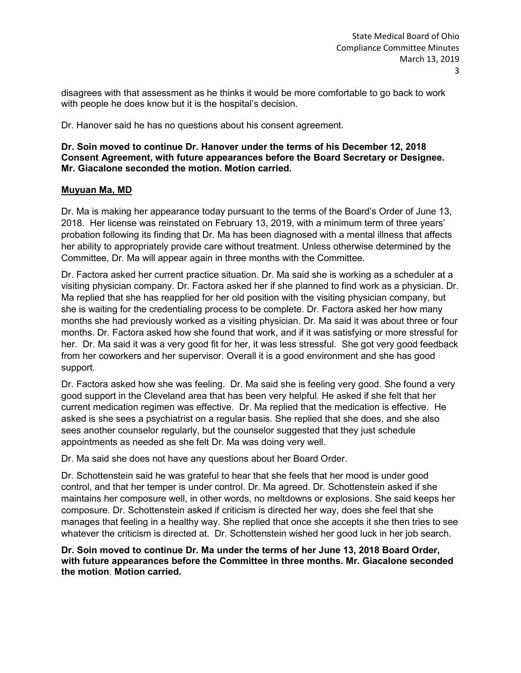disagrees with that assessment as he thinks it would be more comfortable to go back to work with people he does know but it is the hospital's decision.

Dr. Hanover said he has no questions about his consent agreement.

### **Dr. Soin moved to continue Dr. Hanover under the terms of his December 12, 2018 Consent Agreement, with future appearances before the Board Secretary or Designee. Mr. Giacalone seconded the motion. Motion carried.**

## **Muyuan Ma, MD**

Dr. Ma is making her appearance today pursuant to the terms of the Board's Order of June 13, 2018. Her license was reinstated on February 13, 2019, with a minimum term of three years' probation following its finding that Dr. Ma has been diagnosed with a mental illness that affects her ability to appropriately provide care without treatment. Unless otherwise determined by the Committee, Dr. Ma will appear again in three months with the Committee.

Dr. Factora asked her current practice situation. Dr. Ma said she is working as a scheduler at a visiting physician company. Dr. Factora asked her if she planned to find work as a physician. Dr. Ma replied that she has reapplied for her old position with the visiting physician company, but she is waiting for the credentialing process to be complete. Dr. Factora asked her how many months she had previously worked as a visiting physician. Dr. Ma said it was about three or four months. Dr. Factora asked how she found that work, and if it was satisfying or more stressful for her. Dr. Ma said it was a very good fit for her, it was less stressful. She got very good feedback from her coworkers and her supervisor. Overall it is a good environment and she has good support.

Dr. Factora asked how she was feeling. Dr. Ma said she is feeling very good. She found a very good support in the Cleveland area that has been very helpful. He asked if she felt that her current medication regimen was effective. Dr. Ma replied that the medication is effective. He asked is she sees a psychiatrist on a regular basis. She replied that she does, and she also sees another counselor regularly, but the counselor suggested that they just schedule appointments as needed as she felt Dr. Ma was doing very well.

Dr. Ma said she does not have any questions about her Board Order.

Dr. Schottenstein said he was grateful to hear that she feels that her mood is under good control, and that her temper is under control. Dr. Ma agreed. Dr. Schottenstein asked if she maintains her composure well, in other words, no meltdowns or explosions. She said keeps her composure. Dr. Schottenstein asked if criticism is directed her way, does she feel that she manages that feeling in a healthy way. She replied that once she accepts it she then tries to see whatever the criticism is directed at. Dr. Schottenstein wished her good luck in her job search.

### **Dr. Soin moved to continue Dr. Ma under the terms of her June 13, 2018 Board Order, with future appearances before the Committee in three months. Mr. Giacalone seconded the motion**. **Motion carried.**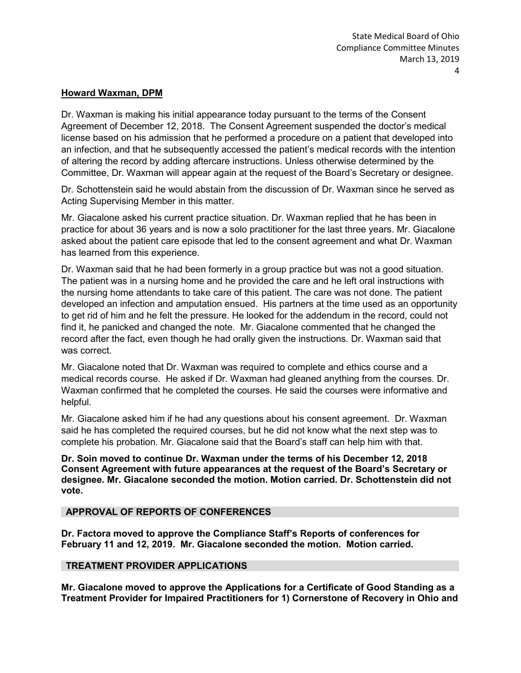### **Howard Waxman, DPM**

Dr. Waxman is making his initial appearance today pursuant to the terms of the Consent Agreement of December 12, 2018. The Consent Agreement suspended the doctor's medical license based on his admission that he performed a procedure on a patient that developed into an infection, and that he subsequently accessed the patient's medical records with the intention of altering the record by adding aftercare instructions. Unless otherwise determined by the Committee, Dr. Waxman will appear again at the request of the Board's Secretary or designee.

Dr. Schottenstein said he would abstain from the discussion of Dr. Waxman since he served as Acting Supervising Member in this matter.

Mr. Giacalone asked his current practice situation. Dr. Waxman replied that he has been in practice for about 36 years and is now a solo practitioner for the last three years. Mr. Giacalone asked about the patient care episode that led to the consent agreement and what Dr. Waxman has learned from this experience.

Dr. Waxman said that he had been formerly in a group practice but was not a good situation. The patient was in a nursing home and he provided the care and he left oral instructions with the nursing home attendants to take care of this patient. The care was not done. The patient developed an infection and amputation ensued. His partners at the time used as an opportunity to get rid of him and he felt the pressure. He looked for the addendum in the record, could not find it, he panicked and changed the note. Mr. Giacalone commented that he changed the record after the fact, even though he had orally given the instructions. Dr. Waxman said that was correct.

Mr. Giacalone noted that Dr. Waxman was required to complete and ethics course and a medical records course. He asked if Dr. Waxman had gleaned anything from the courses. Dr. Waxman confirmed that he completed the courses. He said the courses were informative and helpful.

Mr. Giacalone asked him if he had any questions about his consent agreement. Dr. Waxman said he has completed the required courses, but he did not know what the next step was to complete his probation. Mr. Giacalone said that the Board's staff can help him with that.

**Dr. Soin moved to continue Dr. Waxman under the terms of his December 12, 2018 Consent Agreement with future appearances at the request of the Board's Secretary or designee. Mr. Giacalone seconded the motion. Motion carried. Dr. Schottenstein did not vote.**

### **APPROVAL OF REPORTS OF CONFERENCES**

**Dr. Factora moved to approve the Compliance Staff's Reports of conferences for February 11 and 12, 2019. Mr. Giacalone seconded the motion. Motion carried.**

### **TREATMENT PROVIDER APPLICATIONS**

**Mr. Giacalone moved to approve the Applications for a Certificate of Good Standing as a Treatment Provider for Impaired Practitioners for 1) Cornerstone of Recovery in Ohio and**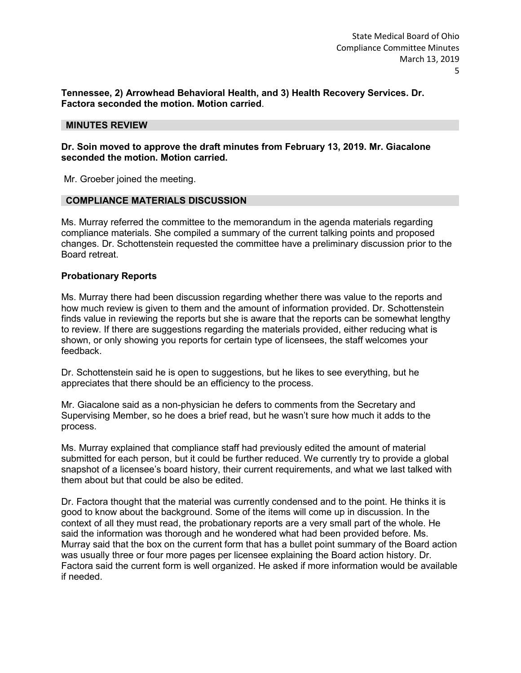**Tennessee, 2) Arrowhead Behavioral Health, and 3) Health Recovery Services. Dr. Factora seconded the motion. Motion carried**.

#### **MINUTES REVIEW**

### **Dr. Soin moved to approve the draft minutes from February 13, 2019. Mr. Giacalone seconded the motion. Motion carried.**

Mr. Groeber joined the meeting.

#### **COMPLIANCE MATERIALS DISCUSSION**

Ms. Murray referred the committee to the memorandum in the agenda materials regarding compliance materials. She compiled a summary of the current talking points and proposed changes. Dr. Schottenstein requested the committee have a preliminary discussion prior to the Board retreat.

### **Probationary Reports**

Ms. Murray there had been discussion regarding whether there was value to the reports and how much review is given to them and the amount of information provided. Dr. Schottenstein finds value in reviewing the reports but she is aware that the reports can be somewhat lengthy to review. If there are suggestions regarding the materials provided, either reducing what is shown, or only showing you reports for certain type of licensees, the staff welcomes your feedback.

Dr. Schottenstein said he is open to suggestions, but he likes to see everything, but he appreciates that there should be an efficiency to the process.

Mr. Giacalone said as a non-physician he defers to comments from the Secretary and Supervising Member, so he does a brief read, but he wasn't sure how much it adds to the process.

Ms. Murray explained that compliance staff had previously edited the amount of material submitted for each person, but it could be further reduced. We currently try to provide a global snapshot of a licensee's board history, their current requirements, and what we last talked with them about but that could be also be edited.

Dr. Factora thought that the material was currently condensed and to the point. He thinks it is good to know about the background. Some of the items will come up in discussion. In the context of all they must read, the probationary reports are a very small part of the whole. He said the information was thorough and he wondered what had been provided before. Ms. Murray said that the box on the current form that has a bullet point summary of the Board action was usually three or four more pages per licensee explaining the Board action history. Dr. Factora said the current form is well organized. He asked if more information would be available if needed.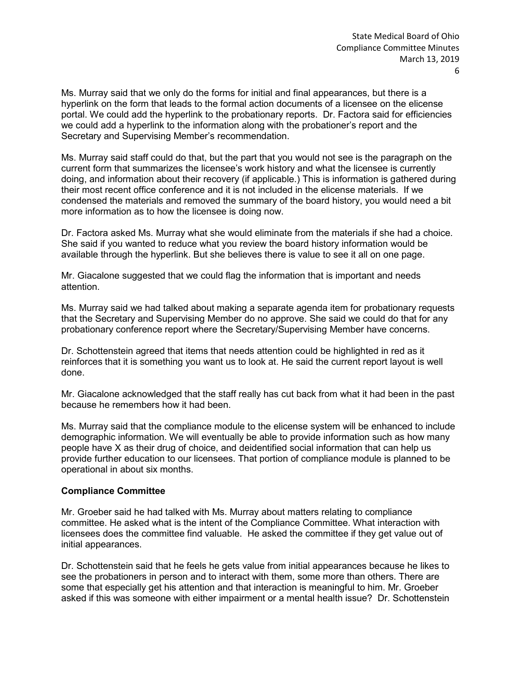Ms. Murray said that we only do the forms for initial and final appearances, but there is a hyperlink on the form that leads to the formal action documents of a licensee on the elicense portal. We could add the hyperlink to the probationary reports. Dr. Factora said for efficiencies we could add a hyperlink to the information along with the probationer's report and the Secretary and Supervising Member's recommendation.

Ms. Murray said staff could do that, but the part that you would not see is the paragraph on the current form that summarizes the licensee's work history and what the licensee is currently doing, and information about their recovery (if applicable.) This is information is gathered during their most recent office conference and it is not included in the elicense materials. If we condensed the materials and removed the summary of the board history, you would need a bit more information as to how the licensee is doing now.

Dr. Factora asked Ms. Murray what she would eliminate from the materials if she had a choice. She said if you wanted to reduce what you review the board history information would be available through the hyperlink. But she believes there is value to see it all on one page.

Mr. Giacalone suggested that we could flag the information that is important and needs attention.

Ms. Murray said we had talked about making a separate agenda item for probationary requests that the Secretary and Supervising Member do no approve. She said we could do that for any probationary conference report where the Secretary/Supervising Member have concerns.

Dr. Schottenstein agreed that items that needs attention could be highlighted in red as it reinforces that it is something you want us to look at. He said the current report layout is well done.

Mr. Giacalone acknowledged that the staff really has cut back from what it had been in the past because he remembers how it had been.

Ms. Murray said that the compliance module to the elicense system will be enhanced to include demographic information. We will eventually be able to provide information such as how many people have X as their drug of choice, and deidentified social information that can help us provide further education to our licensees. That portion of compliance module is planned to be operational in about six months.

### **Compliance Committee**

Mr. Groeber said he had talked with Ms. Murray about matters relating to compliance committee. He asked what is the intent of the Compliance Committee. What interaction with licensees does the committee find valuable. He asked the committee if they get value out of initial appearances.

Dr. Schottenstein said that he feels he gets value from initial appearances because he likes to see the probationers in person and to interact with them, some more than others. There are some that especially get his attention and that interaction is meaningful to him. Mr. Groeber asked if this was someone with either impairment or a mental health issue? Dr. Schottenstein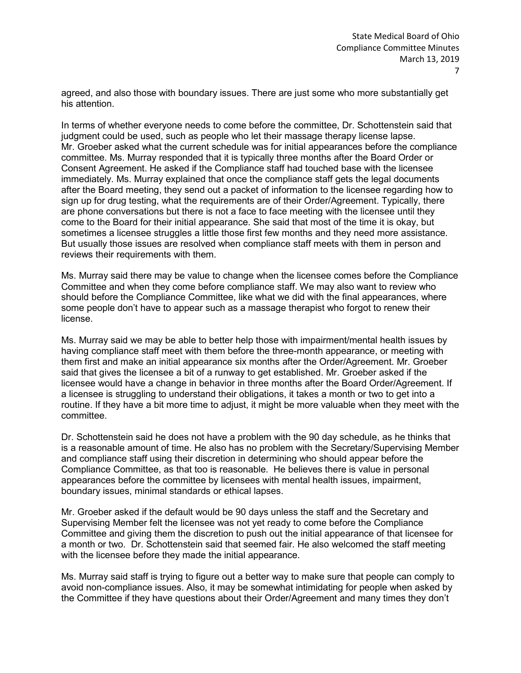agreed, and also those with boundary issues. There are just some who more substantially get his attention.

In terms of whether everyone needs to come before the committee, Dr. Schottenstein said that judgment could be used, such as people who let their massage therapy license lapse. Mr. Groeber asked what the current schedule was for initial appearances before the compliance committee. Ms. Murray responded that it is typically three months after the Board Order or Consent Agreement. He asked if the Compliance staff had touched base with the licensee immediately. Ms. Murray explained that once the compliance staff gets the legal documents after the Board meeting, they send out a packet of information to the licensee regarding how to sign up for drug testing, what the requirements are of their Order/Agreement. Typically, there are phone conversations but there is not a face to face meeting with the licensee until they come to the Board for their initial appearance. She said that most of the time it is okay, but sometimes a licensee struggles a little those first few months and they need more assistance. But usually those issues are resolved when compliance staff meets with them in person and reviews their requirements with them.

Ms. Murray said there may be value to change when the licensee comes before the Compliance Committee and when they come before compliance staff. We may also want to review who should before the Compliance Committee, like what we did with the final appearances, where some people don't have to appear such as a massage therapist who forgot to renew their license.

Ms. Murray said we may be able to better help those with impairment/mental health issues by having compliance staff meet with them before the three-month appearance, or meeting with them first and make an initial appearance six months after the Order/Agreement. Mr. Groeber said that gives the licensee a bit of a runway to get established. Mr. Groeber asked if the licensee would have a change in behavior in three months after the Board Order/Agreement. If a licensee is struggling to understand their obligations, it takes a month or two to get into a routine. If they have a bit more time to adjust, it might be more valuable when they meet with the committee.

Dr. Schottenstein said he does not have a problem with the 90 day schedule, as he thinks that is a reasonable amount of time. He also has no problem with the Secretary/Supervising Member and compliance staff using their discretion in determining who should appear before the Compliance Committee, as that too is reasonable. He believes there is value in personal appearances before the committee by licensees with mental health issues, impairment, boundary issues, minimal standards or ethical lapses.

Mr. Groeber asked if the default would be 90 days unless the staff and the Secretary and Supervising Member felt the licensee was not yet ready to come before the Compliance Committee and giving them the discretion to push out the initial appearance of that licensee for a month or two. Dr. Schottenstein said that seemed fair. He also welcomed the staff meeting with the licensee before they made the initial appearance.

Ms. Murray said staff is trying to figure out a better way to make sure that people can comply to avoid non-compliance issues. Also, it may be somewhat intimidating for people when asked by the Committee if they have questions about their Order/Agreement and many times they don't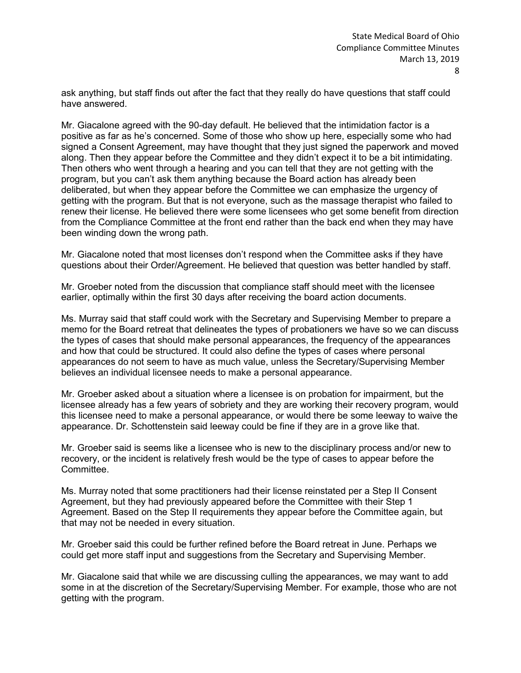ask anything, but staff finds out after the fact that they really do have questions that staff could have answered.

Mr. Giacalone agreed with the 90-day default. He believed that the intimidation factor is a positive as far as he's concerned. Some of those who show up here, especially some who had signed a Consent Agreement, may have thought that they just signed the paperwork and moved along. Then they appear before the Committee and they didn't expect it to be a bit intimidating. Then others who went through a hearing and you can tell that they are not getting with the program, but you can't ask them anything because the Board action has already been deliberated, but when they appear before the Committee we can emphasize the urgency of getting with the program. But that is not everyone, such as the massage therapist who failed to renew their license. He believed there were some licensees who get some benefit from direction from the Compliance Committee at the front end rather than the back end when they may have been winding down the wrong path.

Mr. Giacalone noted that most licenses don't respond when the Committee asks if they have questions about their Order/Agreement. He believed that question was better handled by staff.

Mr. Groeber noted from the discussion that compliance staff should meet with the licensee earlier, optimally within the first 30 days after receiving the board action documents.

Ms. Murray said that staff could work with the Secretary and Supervising Member to prepare a memo for the Board retreat that delineates the types of probationers we have so we can discuss the types of cases that should make personal appearances, the frequency of the appearances and how that could be structured. It could also define the types of cases where personal appearances do not seem to have as much value, unless the Secretary/Supervising Member believes an individual licensee needs to make a personal appearance.

Mr. Groeber asked about a situation where a licensee is on probation for impairment, but the licensee already has a few years of sobriety and they are working their recovery program, would this licensee need to make a personal appearance, or would there be some leeway to waive the appearance. Dr. Schottenstein said leeway could be fine if they are in a grove like that.

Mr. Groeber said is seems like a licensee who is new to the disciplinary process and/or new to recovery, or the incident is relatively fresh would be the type of cases to appear before the **Committee.** 

Ms. Murray noted that some practitioners had their license reinstated per a Step II Consent Agreement, but they had previously appeared before the Committee with their Step 1 Agreement. Based on the Step II requirements they appear before the Committee again, but that may not be needed in every situation.

Mr. Groeber said this could be further refined before the Board retreat in June. Perhaps we could get more staff input and suggestions from the Secretary and Supervising Member.

Mr. Giacalone said that while we are discussing culling the appearances, we may want to add some in at the discretion of the Secretary/Supervising Member. For example, those who are not getting with the program.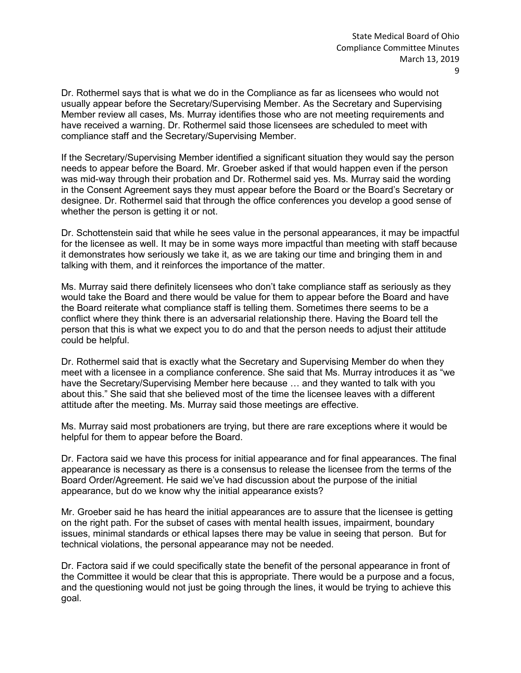Dr. Rothermel says that is what we do in the Compliance as far as licensees who would not usually appear before the Secretary/Supervising Member. As the Secretary and Supervising Member review all cases, Ms. Murray identifies those who are not meeting requirements and have received a warning. Dr. Rothermel said those licensees are scheduled to meet with compliance staff and the Secretary/Supervising Member.

If the Secretary/Supervising Member identified a significant situation they would say the person needs to appear before the Board. Mr. Groeber asked if that would happen even if the person was mid-way through their probation and Dr. Rothermel said yes. Ms. Murray said the wording in the Consent Agreement says they must appear before the Board or the Board's Secretary or designee. Dr. Rothermel said that through the office conferences you develop a good sense of whether the person is getting it or not.

Dr. Schottenstein said that while he sees value in the personal appearances, it may be impactful for the licensee as well. It may be in some ways more impactful than meeting with staff because it demonstrates how seriously we take it, as we are taking our time and bringing them in and talking with them, and it reinforces the importance of the matter.

Ms. Murray said there definitely licensees who don't take compliance staff as seriously as they would take the Board and there would be value for them to appear before the Board and have the Board reiterate what compliance staff is telling them. Sometimes there seems to be a conflict where they think there is an adversarial relationship there. Having the Board tell the person that this is what we expect you to do and that the person needs to adjust their attitude could be helpful.

Dr. Rothermel said that is exactly what the Secretary and Supervising Member do when they meet with a licensee in a compliance conference. She said that Ms. Murray introduces it as "we have the Secretary/Supervising Member here because … and they wanted to talk with you about this." She said that she believed most of the time the licensee leaves with a different attitude after the meeting. Ms. Murray said those meetings are effective.

Ms. Murray said most probationers are trying, but there are rare exceptions where it would be helpful for them to appear before the Board.

Dr. Factora said we have this process for initial appearance and for final appearances. The final appearance is necessary as there is a consensus to release the licensee from the terms of the Board Order/Agreement. He said we've had discussion about the purpose of the initial appearance, but do we know why the initial appearance exists?

Mr. Groeber said he has heard the initial appearances are to assure that the licensee is getting on the right path. For the subset of cases with mental health issues, impairment, boundary issues, minimal standards or ethical lapses there may be value in seeing that person. But for technical violations, the personal appearance may not be needed.

Dr. Factora said if we could specifically state the benefit of the personal appearance in front of the Committee it would be clear that this is appropriate. There would be a purpose and a focus, and the questioning would not just be going through the lines, it would be trying to achieve this goal.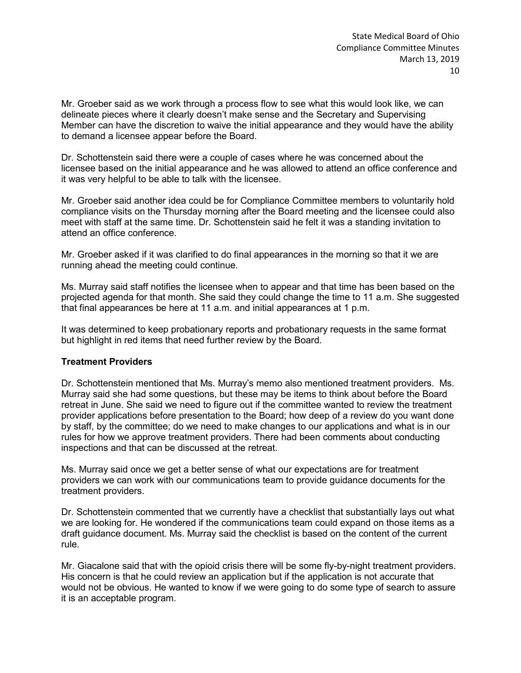Mr. Groeber said as we work through a process flow to see what this would look like, we can delineate pieces where it clearly doesn't make sense and the Secretary and Supervising Member can have the discretion to waive the initial appearance and they would have the ability to demand a licensee appear before the Board.

Dr. Schottenstein said there were a couple of cases where he was concerned about the licensee based on the initial appearance and he was allowed to attend an office conference and it was very helpful to be able to talk with the licensee.

Mr. Groeber said another idea could be for Compliance Committee members to voluntarily hold compliance visits on the Thursday morning after the Board meeting and the licensee could also meet with staff at the same time. Dr. Schottenstein said he felt it was a standing invitation to attend an office conference.

Mr. Groeber asked if it was clarified to do final appearances in the morning so that it we are running ahead the meeting could continue.

Ms. Murray said staff notifies the licensee when to appear and that time has been based on the projected agenda for that month. She said they could change the time to 11 a.m. She suggested that final appearances be here at 11 a.m. and initial appearances at 1 p.m.

It was determined to keep probationary reports and probationary requests in the same format but highlight in red items that need further review by the Board.

## **Treatment Providers**

Dr. Schottenstein mentioned that Ms. Murray's memo also mentioned treatment providers. Ms. Murray said she had some questions, but these may be items to think about before the Board retreat in June. She said we need to figure out if the committee wanted to review the treatment provider applications before presentation to the Board; how deep of a review do you want done by staff, by the committee; do we need to make changes to our applications and what is in our rules for how we approve treatment providers. There had been comments about conducting inspections and that can be discussed at the retreat.

Ms. Murray said once we get a better sense of what our expectations are for treatment providers we can work with our communications team to provide guidance documents for the treatment providers.

Dr. Schottenstein commented that we currently have a checklist that substantially lays out what we are looking for. He wondered if the communications team could expand on those items as a draft guidance document. Ms. Murray said the checklist is based on the content of the current rule.

Mr. Giacalone said that with the opioid crisis there will be some fly-by-night treatment providers. His concern is that he could review an application but if the application is not accurate that would not be obvious. He wanted to know if we were going to do some type of search to assure it is an acceptable program.